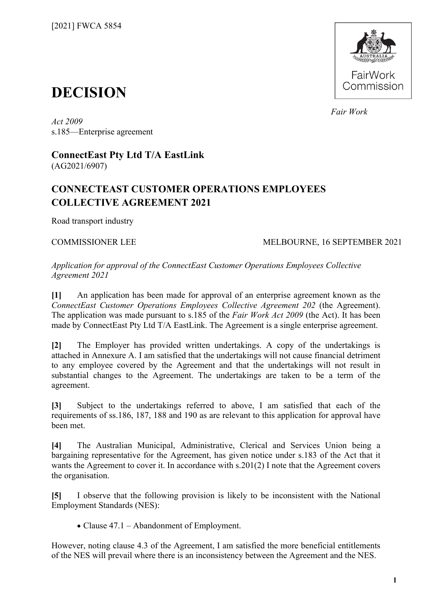

**DECISION**

*Fair Work* 

*Act 2009*  s.185—Enterprise agreement

**ConnectEast Pty Ltd T/A EastLink** (AG2021/6907)

## **CONNECTEAST CUSTOMER OPERATIONS EMPLOYEES COLLECTIVE AGREEMENT 2021**

Road transport industry

COMMISSIONER LEE MELBOURNE, 16 SEPTEMBER 2021

*Application for approval of the ConnectEast Customer Operations Employees Collective Agreement 2021*

**[1]** An application has been made for approval of an enterprise agreement known as the *ConnectEast Customer Operations Employees Collective Agreement 202* (the Agreement). The application was made pursuant to s.185 of the *Fair Work Act 2009* (the Act). It has been made by ConnectEast Pty Ltd T/A EastLink. The Agreement is a single enterprise agreement.

**[2]** The Employer has provided written undertakings. A copy of the undertakings is attached in Annexure A. I am satisfied that the undertakings will not cause financial detriment to any employee covered by the Agreement and that the undertakings will not result in substantial changes to the Agreement. The undertakings are taken to be a term of the agreement.

**[3]** Subject to the undertakings referred to above, I am satisfied that each of the requirements of ss.186, 187, 188 and 190 as are relevant to this application for approval have been met.

**[4]** The Australian Municipal, Administrative, Clerical and Services Union being a bargaining representative for the Agreement, has given notice under s.183 of the Act that it wants the Agreement to cover it. In accordance with s.201(2) I note that the Agreement covers the organisation.

**[5]** I observe that the following provision is likely to be inconsistent with the National Employment Standards (NES):

• Clause 47.1 – Abandonment of Employment.

However, noting clause 4.3 of the Agreement, I am satisfied the more beneficial entitlements of the NES will prevail where there is an inconsistency between the Agreement and the NES.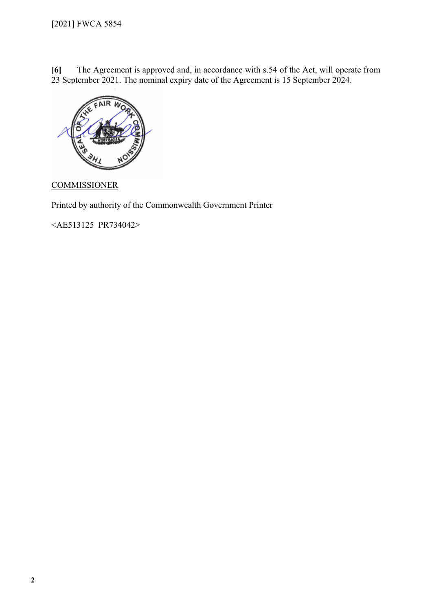**[6]** The Agreement is approved and, in accordance with s.54 of the Act, will operate from 23 September 2021. The nominal expiry date of the Agreement is 15 September 2024.



**COMMISSIONER** 

Printed by authority of the Commonwealth Government Printer

<AE513125 PR734042>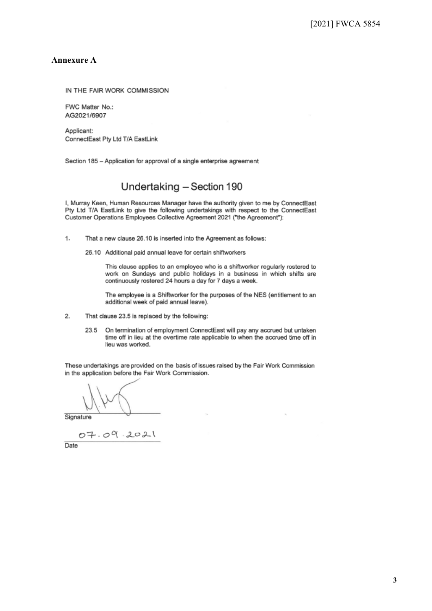#### **Annexure A**

IN THE FAIR WORK COMMISSION

FWC Matter No.: AG2021/6907

Applicant: ConnectEast Pty Ltd T/A EastLink

Section 185 - Application for approval of a single enterprise agreement

## Undertaking - Section 190

I, Murray Keen, Human Resources Manager have the authority given to me by ConnectEast Pty Ltd T/A EastLink to give the following undertakings with respect to the ConnectEast Customer Operations Employees Collective Agreement 2021 ("the Agreement"):

- 1. That a new clause 26.10 is inserted into the Agreement as follows:
	- 26.10 Additional paid annual leave for certain shiftworkers

This clause applies to an employee who is a shiftworker regularly rostered to work on Sundays and public holidays in a business in which shifts are continuously rostered 24 hours a day for 7 days a week.

The employee is a Shiftworker for the purposes of the NES (entitlement to an additional week of paid annual leave).

- $\overline{2}$ . That clause 23.5 is replaced by the following:
	- On termination of employment ConnectEast will pay any accrued but untaken 23.5 time off in lieu at the overtime rate applicable to when the accrued time off in lieu was worked.

These undertakings are provided on the basis of issues raised by the Fair Work Commission in the application before the Fair Work Commission.

Signature

07.09.2021

Date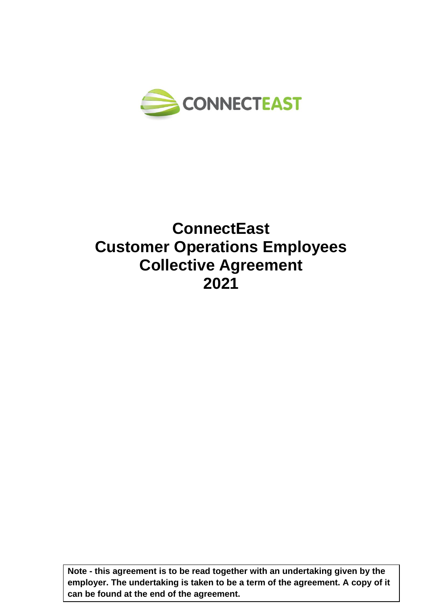

# **ConnectEast Customer Operations Employees Collective Agreement 2021**

**Note - this agreement is to be read together with an undertaking given by the employer. The undertaking is taken to be a term of the agreement. A copy of it can be found at the end of the agreement.**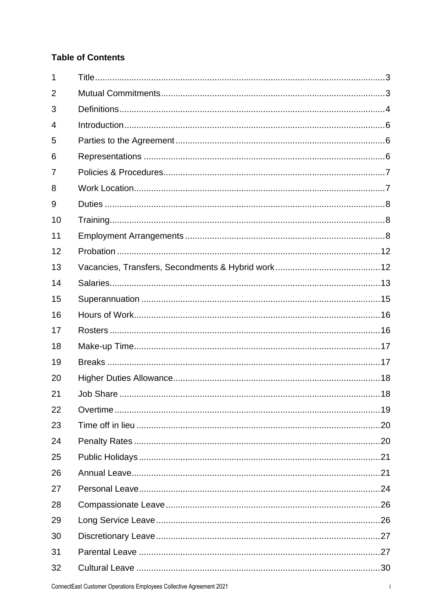## **Table of Contents**

| 1  |  |
|----|--|
| 2  |  |
| 3  |  |
| 4  |  |
| 5  |  |
| 6  |  |
| 7  |  |
| 8  |  |
| 9  |  |
| 10 |  |
| 11 |  |
| 12 |  |
| 13 |  |
| 14 |  |
| 15 |  |
| 16 |  |
| 17 |  |
| 18 |  |
| 19 |  |
| 20 |  |
| 21 |  |
| 22 |  |
| 23 |  |
| 24 |  |
| 25 |  |
| 26 |  |
| 27 |  |
| 28 |  |
| 29 |  |
| 30 |  |
| 31 |  |
| 32 |  |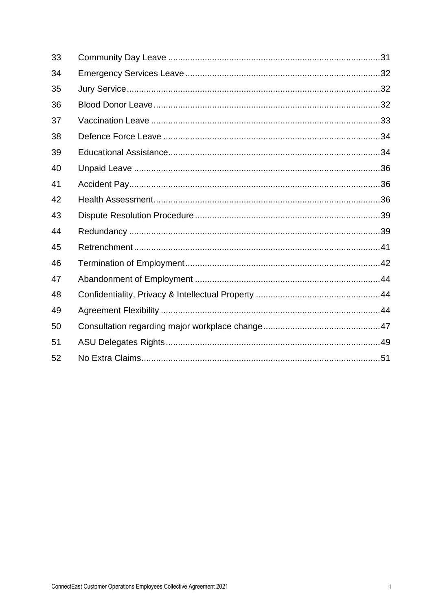| 33 |  |
|----|--|
| 34 |  |
| 35 |  |
| 36 |  |
| 37 |  |
| 38 |  |
| 39 |  |
| 40 |  |
| 41 |  |
| 42 |  |
| 43 |  |
| 44 |  |
| 45 |  |
| 46 |  |
| 47 |  |
| 48 |  |
| 49 |  |
| 50 |  |
| 51 |  |
| 52 |  |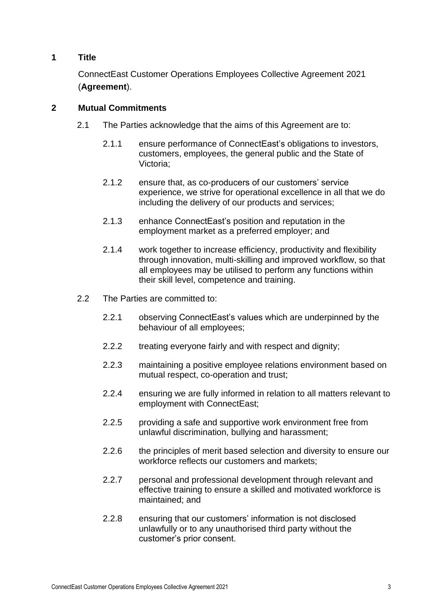## <span id="page-6-0"></span>**1 Title**

ConnectEast Customer Operations Employees Collective Agreement 2021 (**Agreement**).

## <span id="page-6-1"></span>**2 Mutual Commitments**

- 2.1 The Parties acknowledge that the aims of this Agreement are to:
	- 2.1.1 ensure performance of ConnectEast's obligations to investors, customers, employees, the general public and the State of Victoria;
	- 2.1.2 ensure that, as co-producers of our customers' service experience, we strive for operational excellence in all that we do including the delivery of our products and services;
	- 2.1.3 enhance ConnectEast's position and reputation in the employment market as a preferred employer; and
	- 2.1.4 work together to increase efficiency, productivity and flexibility through innovation, multi-skilling and improved workflow, so that all employees may be utilised to perform any functions within their skill level, competence and training.
- 2.2 The Parties are committed to:
	- 2.2.1 observing ConnectEast's values which are underpinned by the behaviour of all employees;
	- 2.2.2 treating everyone fairly and with respect and dignity;
	- 2.2.3 maintaining a positive employee relations environment based on mutual respect, co-operation and trust;
	- 2.2.4 ensuring we are fully informed in relation to all matters relevant to employment with ConnectEast;
	- 2.2.5 providing a safe and supportive work environment free from unlawful discrimination, bullying and harassment;
	- 2.2.6 the principles of merit based selection and diversity to ensure our workforce reflects our customers and markets;
	- 2.2.7 personal and professional development through relevant and effective training to ensure a skilled and motivated workforce is maintained; and
	- 2.2.8 ensuring that our customers' information is not disclosed unlawfully or to any unauthorised third party without the customer's prior consent.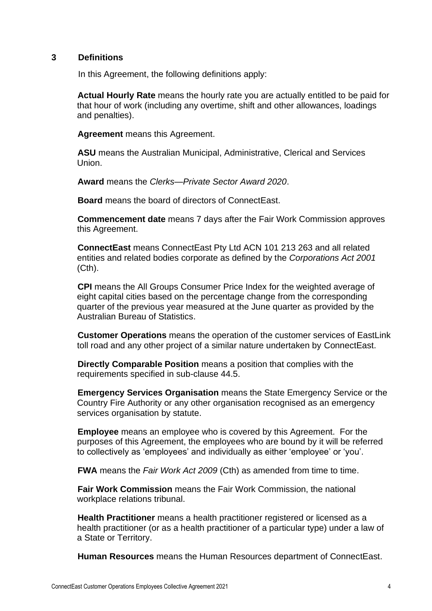## <span id="page-7-0"></span>**3 Definitions**

In this Agreement, the following definitions apply:

**Actual Hourly Rate** means the hourly rate you are actually entitled to be paid for that hour of work (including any overtime, shift and other allowances, loadings and penalties).

**Agreement** means this Agreement.

**ASU** means the Australian Municipal, Administrative, Clerical and Services Union.

**Award** means the *Clerks—Private Sector Award 2020*.

**Board** means the board of directors of ConnectEast.

**Commencement date** means 7 days after the Fair Work Commission approves this Agreement.

**ConnectEast** means ConnectEast Pty Ltd ACN 101 213 263 and all related entities and related bodies corporate as defined by the *Corporations Act 2001* (Cth).

**CPI** means the All Groups Consumer Price Index for the weighted average of eight capital cities based on the percentage change from the corresponding quarter of the previous year measured at the June quarter as provided by the Australian Bureau of Statistics.

**Customer Operations** means the operation of the customer services of EastLink toll road and any other project of a similar nature undertaken by ConnectEast.

**Directly Comparable Position** means a position that complies with the requirements specified in sub-clause [44.5.](#page-43-1)

**Emergency Services Organisation** means the State Emergency Service or the Country Fire Authority or any other organisation recognised as an emergency services organisation by statute.

**Employee** means an employee who is covered by this Agreement. For the purposes of this Agreement, the employees who are bound by it will be referred to collectively as 'employees' and individually as either 'employee' or 'you'.

**FWA** means the *Fair Work Act 2009* (Cth) as amended from time to time.

**Fair Work Commission** means the Fair Work Commission, the national workplace relations tribunal.

**Health Practitioner** means a health practitioner registered or licensed as a health practitioner (or as a health practitioner of a particular type) under a law of a State or Territory.

**Human Resources** means the Human Resources department of ConnectEast.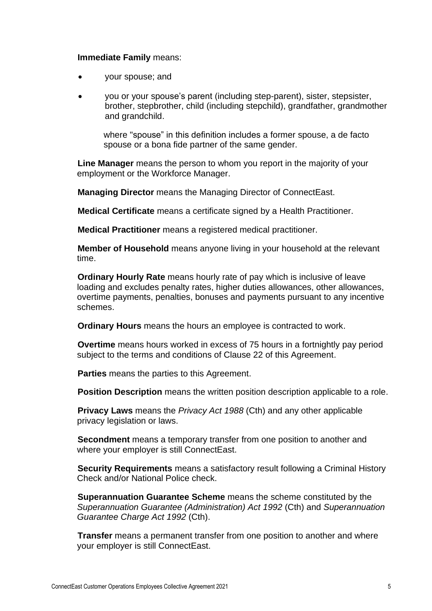#### **Immediate Family** means:

- your spouse; and
- you or your spouse's parent (including step-parent), sister, stepsister, brother, stepbrother, child (including stepchild), grandfather, grandmother and grandchild.

where "spouse" in this definition includes a former spouse, a de facto spouse or a bona fide partner of the same gender.

**Line Manager** means the person to whom you report in the majority of your employment or the Workforce Manager.

**Managing Director** means the Managing Director of ConnectEast.

**Medical Certificate** means a certificate signed by a Health Practitioner.

**Medical Practitioner** means a registered medical practitioner.

**Member of Household** means anyone living in your household at the relevant time.

**Ordinary Hourly Rate** means hourly rate of pay which is inclusive of leave loading and excludes penalty rates, higher duties allowances, other allowances, overtime payments, penalties, bonuses and payments pursuant to any incentive schemes.

**Ordinary Hours** means the hours an employee is contracted to work.

**Overtime** means hours worked in excess of 75 hours in a fortnightly pay period subject to the terms and conditions of Clause 22 of this Agreement.

**Parties** means the parties to this Agreement.

**Position Description** means the written position description applicable to a role.

**Privacy Laws** means the *Privacy Act 1988* (Cth) and any other applicable privacy legislation or laws.

**Secondment** means a temporary transfer from one position to another and where your employer is still ConnectEast.

**Security Requirements** means a satisfactory result following a Criminal History Check and/or National Police check.

**Superannuation Guarantee Scheme** means the scheme constituted by the *Superannuation Guarantee (Administration) Act 1992* (Cth) and *Superannuation Guarantee Charge Act 1992* (Cth).

**Transfer** means a permanent transfer from one position to another and where your employer is still ConnectEast.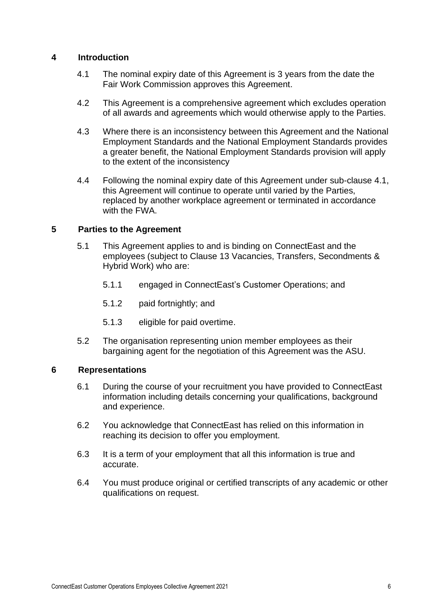## <span id="page-9-0"></span>**4 Introduction**

- 4.1 The nominal expiry date of this Agreement is 3 years from the date the Fair Work Commission approves this Agreement.
- 4.2 This Agreement is a comprehensive agreement which excludes operation of all awards and agreements which would otherwise apply to the Parties.
- 4.3 Where there is an inconsistency between this Agreement and the National Employment Standards and the National Employment Standards provides a greater benefit, the National Employment Standards provision will apply to the extent of the inconsistency
- 4.4 Following the nominal expiry date of this Agreement under sub-clause 4.1, this Agreement will continue to operate until varied by the Parties, replaced by another workplace agreement or terminated in accordance with the FWA.

## <span id="page-9-1"></span>**5 Parties to the Agreement**

- 5.1 This Agreement applies to and is binding on ConnectEast and the employees (subject to Clause [13](#page-15-1) Vacancies, Transfers, Secondments & Hybrid Work) who are:
	- 5.1.1 engaged in ConnectEast's Customer Operations; and
	- 5.1.2 paid fortnightly; and
	- 5.1.3 eligible for paid overtime.
- 5.2 The organisation representing union member employees as their bargaining agent for the negotiation of this Agreement was the ASU.

## <span id="page-9-2"></span>**6 Representations**

- 6.1 During the course of your recruitment you have provided to ConnectEast information including details concerning your qualifications, background and experience.
- 6.2 You acknowledge that ConnectEast has relied on this information in reaching its decision to offer you employment.
- 6.3 It is a term of your employment that all this information is true and accurate.
- <span id="page-9-3"></span>6.4 You must produce original or certified transcripts of any academic or other qualifications on request.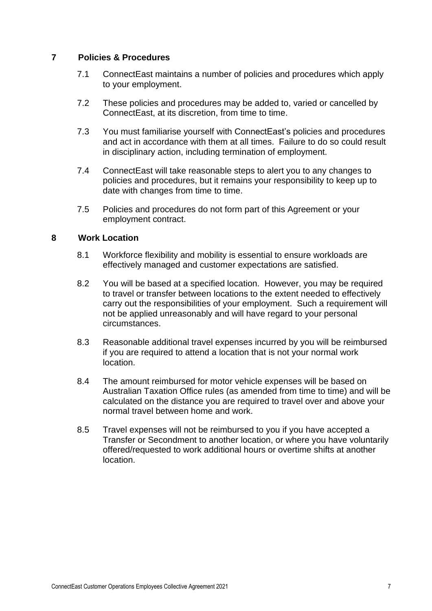## **7 Policies & Procedures**

- 7.1 ConnectEast maintains a number of policies and procedures which apply to your employment.
- 7.2 These policies and procedures may be added to, varied or cancelled by ConnectEast, at its discretion, from time to time.
- 7.3 You must familiarise yourself with ConnectEast's policies and procedures and act in accordance with them at all times. Failure to do so could result in disciplinary action, including termination of employment.
- 7.4 ConnectEast will take reasonable steps to alert you to any changes to policies and procedures, but it remains your responsibility to keep up to date with changes from time to time.
- 7.5 Policies and procedures do not form part of this Agreement or your employment contract.

## <span id="page-10-0"></span>**8 Work Location**

- 8.1 Workforce flexibility and mobility is essential to ensure workloads are effectively managed and customer expectations are satisfied.
- 8.2 You will be based at a specified location. However, you may be required to travel or transfer between locations to the extent needed to effectively carry out the responsibilities of your employment. Such a requirement will not be applied unreasonably and will have regard to your personal circumstances.
- 8.3 Reasonable additional travel expenses incurred by you will be reimbursed if you are required to attend a location that is not your normal work location.
- 8.4 The amount reimbursed for motor vehicle expenses will be based on Australian Taxation Office rules (as amended from time to time) and will be calculated on the distance you are required to travel over and above your normal travel between home and work.
- <span id="page-10-1"></span>8.5 Travel expenses will not be reimbursed to you if you have accepted a Transfer or Secondment to another location, or where you have voluntarily offered/requested to work additional hours or overtime shifts at another location.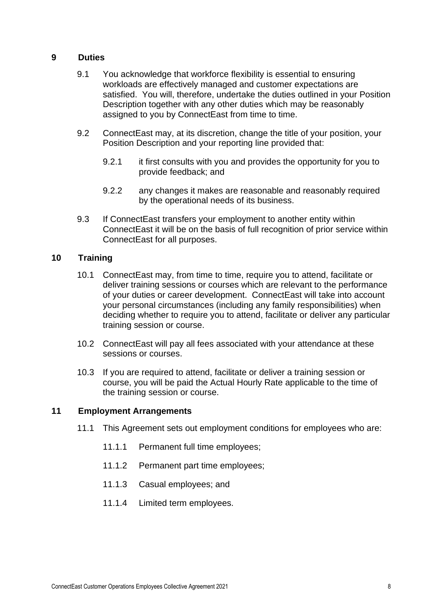## **9 Duties**

- 9.1 You acknowledge that workforce flexibility is essential to ensuring workloads are effectively managed and customer expectations are satisfied. You will, therefore, undertake the duties outlined in your Position Description together with any other duties which may be reasonably assigned to you by ConnectEast from time to time.
- 9.2 ConnectEast may, at its discretion, change the title of your position, your Position Description and your reporting line provided that:
	- 9.2.1 it first consults with you and provides the opportunity for you to provide feedback; and
	- 9.2.2 any changes it makes are reasonable and reasonably required by the operational needs of its business.
- 9.3 If ConnectEast transfers your employment to another entity within ConnectEast it will be on the basis of full recognition of prior service within ConnectEast for all purposes.

## <span id="page-11-0"></span>**10 Training**

- 10.1 ConnectEast may, from time to time, require you to attend, facilitate or deliver training sessions or courses which are relevant to the performance of your duties or career development. ConnectEast will take into account your personal circumstances (including any family responsibilities) when deciding whether to require you to attend, facilitate or deliver any particular training session or course.
- 10.2 ConnectEast will pay all fees associated with your attendance at these sessions or courses.
- 10.3 If you are required to attend, facilitate or deliver a training session or course, you will be paid the Actual Hourly Rate applicable to the time of the training session or course.

## <span id="page-11-1"></span>**11 Employment Arrangements**

- 11.1 This Agreement sets out employment conditions for employees who are:
	- 11.1.1 Permanent full time employees;
	- 11.1.2 Permanent part time employees;
	- 11.1.3 Casual employees; and
	- 11.1.4 Limited term employees.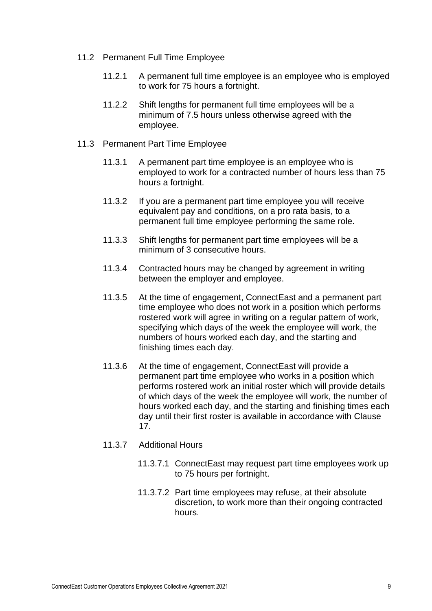- 11.2 Permanent Full Time Employee
	- 11.2.1 A permanent full time employee is an employee who is employed to work for 75 hours a fortnight.
	- 11.2.2 Shift lengths for permanent full time employees will be a minimum of 7.5 hours unless otherwise agreed with the employee.
- 11.3 Permanent Part Time Employee
	- 11.3.1 A permanent part time employee is an employee who is employed to work for a contracted number of hours less than 75 hours a fortnight.
	- 11.3.2 If you are a permanent part time employee you will receive equivalent pay and conditions, on a pro rata basis, to a permanent full time employee performing the same role.
	- 11.3.3 Shift lengths for permanent part time employees will be a minimum of 3 consecutive hours.
	- 11.3.4 Contracted hours may be changed by agreement in writing between the employer and employee.
	- 11.3.5 At the time of engagement, ConnectEast and a permanent part time employee who does not work in a position which performs rostered work will agree in writing on a regular pattern of work, specifying which days of the week the employee will work, the numbers of hours worked each day, and the starting and finishing times each day.
	- 11.3.6 At the time of engagement, ConnectEast will provide a permanent part time employee who works in a position which performs rostered work an initial roster which will provide details of which days of the week the employee will work, the number of hours worked each day, and the starting and finishing times each day until their first roster is available in accordance with Clause 17.
	- 11.3.7 Additional Hours
		- 11.3.7.1 ConnectEast may request part time employees work up to 75 hours per fortnight.
		- 11.3.7.2 Part time employees may refuse, at their absolute discretion, to work more than their ongoing contracted hours.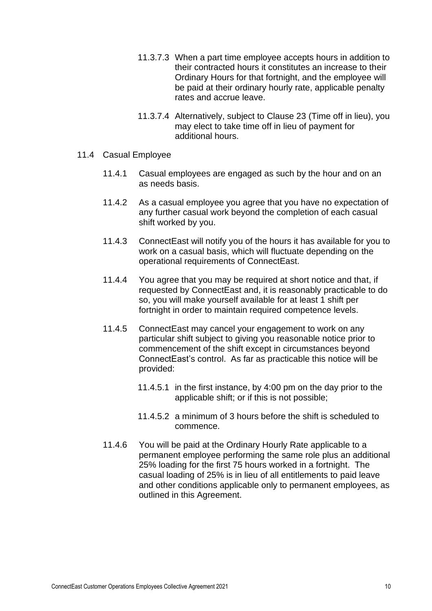- 11.3.7.3 When a part time employee accepts hours in addition to their contracted hours it constitutes an increase to their Ordinary Hours for that fortnight, and the employee will be paid at their ordinary hourly rate, applicable penalty rates and accrue leave.
- 11.3.7.4 Alternatively, subject to Clause 23 (Time off in lieu), you may elect to take time off in lieu of payment for additional hours.
- 11.4 Casual Employee
	- 11.4.1 Casual employees are engaged as such by the hour and on an as needs basis.
	- 11.4.2 As a casual employee you agree that you have no expectation of any further casual work beyond the completion of each casual shift worked by you.
	- 11.4.3 ConnectEast will notify you of the hours it has available for you to work on a casual basis, which will fluctuate depending on the operational requirements of ConnectEast.
	- 11.4.4 You agree that you may be required at short notice and that, if requested by ConnectEast and, it is reasonably practicable to do so, you will make yourself available for at least 1 shift per fortnight in order to maintain required competence levels.
	- 11.4.5 ConnectEast may cancel your engagement to work on any particular shift subject to giving you reasonable notice prior to commencement of the shift except in circumstances beyond ConnectEast's control. As far as practicable this notice will be provided:
		- 11.4.5.1 in the first instance, by 4:00 pm on the day prior to the applicable shift; or if this is not possible;
		- 11.4.5.2 a minimum of 3 hours before the shift is scheduled to commence.
	- 11.4.6 You will be paid at the Ordinary Hourly Rate applicable to a permanent employee performing the same role plus an additional 25% loading for the first 75 hours worked in a fortnight. The casual loading of 25% is in lieu of all entitlements to paid leave and other conditions applicable only to permanent employees, as outlined in this Agreement.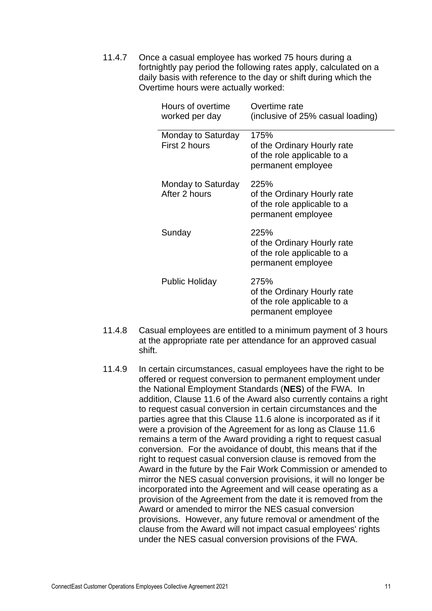11.4.7 Once a casual employee has worked 75 hours during a fortnightly pay period the following rates apply, calculated on a daily basis with reference to the day or shift during which the Overtime hours were actually worked:

| Hours of overtime<br>worked per day | Overtime rate<br>(inclusive of 25% casual loading)                                              |
|-------------------------------------|-------------------------------------------------------------------------------------------------|
| Monday to Saturday<br>First 2 hours | 175%<br>of the Ordinary Hourly rate<br>of the role applicable to a<br>permanent employee        |
| Monday to Saturday<br>After 2 hours | 225%<br>of the Ordinary Hourly rate<br>of the role applicable to a<br>permanent employee        |
| Sunday                              | <b>225%</b><br>of the Ordinary Hourly rate<br>of the role applicable to a<br>permanent employee |
| <b>Public Holiday</b>               | 275%<br>of the Ordinary Hourly rate<br>of the role applicable to a<br>permanent employee        |

- 11.4.8 Casual employees are entitled to a minimum payment of 3 hours at the appropriate rate per attendance for an approved casual shift.
- 11.4.9 In certain circumstances, casual employees have the right to be offered or request conversion to permanent employment under the National Employment Standards (**NES**) of the FWA. In addition, Clause 11.6 of the Award also currently contains a right to request casual conversion in certain circumstances and the parties agree that this Clause 11.6 alone is incorporated as if it were a provision of the Agreement for as long as Clause 11.6 remains a term of the Award providing a right to request casual conversion. For the avoidance of doubt, this means that if the right to request casual conversion clause is removed from the Award in the future by the Fair Work Commission or amended to mirror the NES casual conversion provisions, it will no longer be incorporated into the Agreement and will cease operating as a provision of the Agreement from the date it is removed from the Award or amended to mirror the NES casual conversion provisions. However, any future removal or amendment of the clause from the Award will not impact casual employees' rights under the NES casual conversion provisions of the FWA.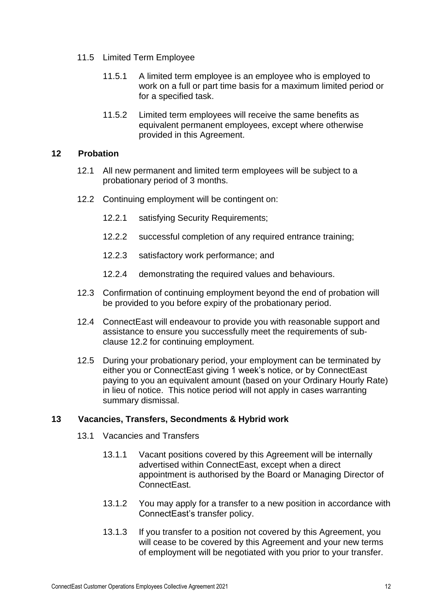- 11.5 Limited Term Employee
	- 11.5.1 A limited term employee is an employee who is employed to work on a full or part time basis for a maximum limited period or for a specified task.
	- 11.5.2 Limited term employees will receive the same benefits as equivalent permanent employees, except where otherwise provided in this Agreement.

#### <span id="page-15-0"></span>**12 Probation**

- 12.1 All new permanent and limited term employees will be subject to a probationary period of 3 months.
- <span id="page-15-2"></span>12.2 Continuing employment will be contingent on:
	- 12.2.1 satisfying Security Requirements;
	- 12.2.2 successful completion of any required entrance training;
	- 12.2.3 satisfactory work performance; and
	- 12.2.4 demonstrating the required values and behaviours.
- 12.3 Confirmation of continuing employment beyond the end of probation will be provided to you before expiry of the probationary period.
- 12.4 ConnectEast will endeavour to provide you with reasonable support and assistance to ensure you successfully meet the requirements of subclause [12.2](#page-15-2) for continuing employment.
- 12.5 During your probationary period, your employment can be terminated by either you or ConnectEast giving 1 week's notice, or by ConnectEast paying to you an equivalent amount (based on your Ordinary Hourly Rate) in lieu of notice. This notice period will not apply in cases warranting summary dismissal.

#### <span id="page-15-1"></span>**13 Vacancies, Transfers, Secondments & Hybrid work**

- 13.1 Vacancies and Transfers
	- 13.1.1 Vacant positions covered by this Agreement will be internally advertised within ConnectEast, except when a direct appointment is authorised by the Board or Managing Director of ConnectEast.
	- 13.1.2 You may apply for a transfer to a new position in accordance with ConnectEast's transfer policy.
	- 13.1.3 If you transfer to a position not covered by this Agreement, you will cease to be covered by this Agreement and your new terms of employment will be negotiated with you prior to your transfer.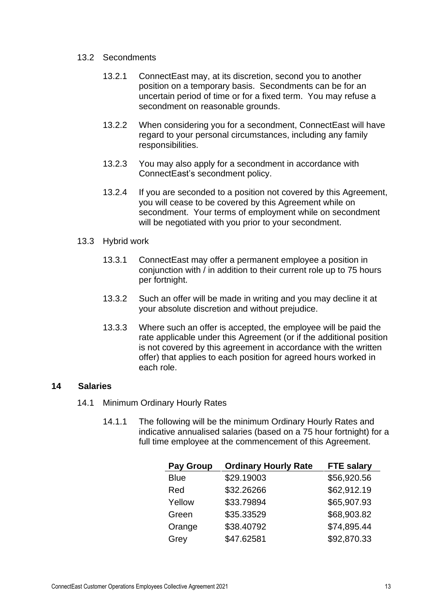#### 13.2 Secondments

- 13.2.1 ConnectEast may, at its discretion, second you to another position on a temporary basis. Secondments can be for an uncertain period of time or for a fixed term. You may refuse a secondment on reasonable grounds.
- 13.2.2 When considering you for a secondment, ConnectEast will have regard to your personal circumstances, including any family responsibilities.
- 13.2.3 You may also apply for a secondment in accordance with ConnectEast's secondment policy.
- 13.2.4 If you are seconded to a position not covered by this Agreement, you will cease to be covered by this Agreement while on secondment. Your terms of employment while on secondment will be negotiated with you prior to your secondment.

#### 13.3 Hybrid work

- 13.3.1 ConnectEast may offer a permanent employee a position in conjunction with / in addition to their current role up to 75 hours per fortnight.
- 13.3.2 Such an offer will be made in writing and you may decline it at your absolute discretion and without prejudice.
- 13.3.3 Where such an offer is accepted, the employee will be paid the rate applicable under this Agreement (or if the additional position is not covered by this agreement in accordance with the written offer) that applies to each position for agreed hours worked in each role.

## <span id="page-16-0"></span>**14 Salaries**

- 14.1 Minimum Ordinary Hourly Rates
	- 14.1.1 The following will be the minimum Ordinary Hourly Rates and indicative annualised salaries (based on a 75 hour fortnight) for a full time employee at the commencement of this Agreement.

| <b>Pay Group</b> | <b>Ordinary Hourly Rate</b> | <b>FTE salary</b> |
|------------------|-----------------------------|-------------------|
| <b>Blue</b>      | \$29.19003                  | \$56,920.56       |
| Red              | \$32.26266                  | \$62,912.19       |
| Yellow           | \$33.79894                  | \$65,907.93       |
| Green            | \$35.33529                  | \$68,903.82       |
| Orange           | \$38.40792                  | \$74,895.44       |
| Grey             | \$47.62581                  | \$92,870.33       |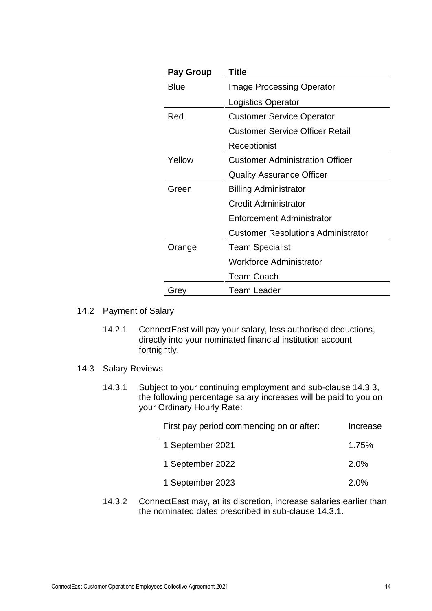| <b>Pay Group</b> | Title                                     |
|------------------|-------------------------------------------|
| Blue             | <b>Image Processing Operator</b>          |
|                  | <b>Logistics Operator</b>                 |
| Red              | <b>Customer Service Operator</b>          |
|                  | Customer Service Officer Retail           |
|                  | Receptionist                              |
| Yellow           | <b>Customer Administration Officer</b>    |
|                  | Quality Assurance Officer                 |
| Green            | <b>Billing Administrator</b>              |
|                  | <b>Credit Administrator</b>               |
|                  | <b>Enforcement Administrator</b>          |
|                  | <b>Customer Resolutions Administrator</b> |
| Orange           | <b>Team Specialist</b>                    |
|                  | <b>Workforce Administrator</b>            |
|                  | Team Coach                                |
| Grev             | Team Leader                               |

- 14.2 Payment of Salary
	- 14.2.1 ConnectEast will pay your salary, less authorised deductions, directly into your nominated financial institution account fortnightly.
- 14.3 Salary Reviews
	- 14.3.1 Subject to your continuing employment and sub-clause [14.3.3,](#page-17-0) the following percentage salary increases will be paid to you on your Ordinary Hourly Rate:

| First pay period commencing on or after: | Increase |
|------------------------------------------|----------|
| 1 September 2021                         | 1.75%    |
| 1 September 2022                         | $2.0\%$  |
| 1 September 2023                         | $2.0\%$  |

<span id="page-17-0"></span>14.3.2 ConnectEast may, at its discretion, increase salaries earlier than the nominated dates prescribed in sub-clause 14.3.1.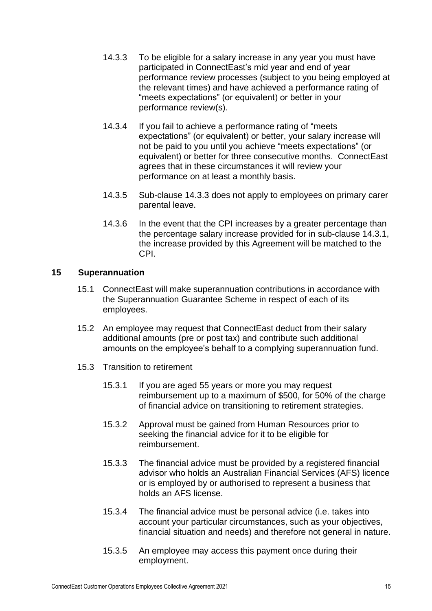- 14.3.3 To be eligible for a salary increase in any year you must have participated in ConnectEast's mid year and end of year performance review processes (subject to you being employed at the relevant times) and have achieved a performance rating of "meets expectations" (or equivalent) or better in your performance review(s).
- 14.3.4 If you fail to achieve a performance rating of "meets expectations" (or equivalent) or better, your salary increase will not be paid to you until you achieve "meets expectations" (or equivalent) or better for three consecutive months. ConnectEast agrees that in these circumstances it will review your performance on at least a monthly basis.
- 14.3.5 Sub-clause [14.3.3](#page-17-0) does not apply to employees on primary carer parental leave.
- 14.3.6 In the event that the CPI increases by a greater percentage than the percentage salary increase provided for in sub-clause 14.3.1, the increase provided by this Agreement will be matched to the CPI.

## <span id="page-18-0"></span>**15 Superannuation**

- 15.1 ConnectEast will make superannuation contributions in accordance with the Superannuation Guarantee Scheme in respect of each of its employees.
- 15.2 An employee may request that ConnectEast deduct from their salary additional amounts (pre or post tax) and contribute such additional amounts on the employee's behalf to a complying superannuation fund.
- <span id="page-18-1"></span>15.3 Transition to retirement
	- 15.3.1 If you are aged 55 years or more you may request reimbursement up to a maximum of \$500, for 50% of the charge of financial advice on transitioning to retirement strategies.
	- 15.3.2 Approval must be gained from Human Resources prior to seeking the financial advice for it to be eligible for reimbursement.
	- 15.3.3 The financial advice must be provided by a registered financial advisor who holds an Australian Financial Services (AFS) licence or is employed by or authorised to represent a business that holds an AFS license.
	- 15.3.4 The financial advice must be personal advice (i.e. takes into account your particular circumstances, such as your objectives, financial situation and needs) and therefore not general in nature.
	- 15.3.5 An employee may access this payment once during their employment.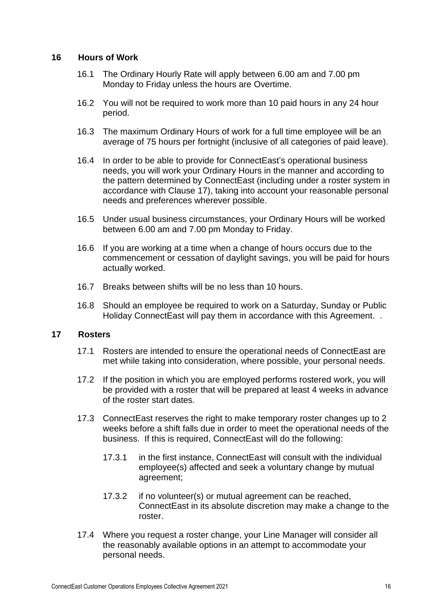## **16 Hours of Work**

- 16.1 The Ordinary Hourly Rate will apply between 6.00 am and 7.00 pm Monday to Friday unless the hours are Overtime.
- 16.2 You will not be required to work more than 10 paid hours in any 24 hour period.
- 16.3 The maximum Ordinary Hours of work for a full time employee will be an average of 75 hours per fortnight (inclusive of all categories of paid leave).
- 16.4 In order to be able to provide for ConnectEast's operational business needs, you will work your Ordinary Hours in the manner and according to the pattern determined by ConnectEast (including under a roster system in accordance with Clause [17\)](#page-19-0), taking into account your reasonable personal needs and preferences wherever possible.
- 16.5 Under usual business circumstances, your Ordinary Hours will be worked between 6.00 am and 7.00 pm Monday to Friday.
- 16.6 If you are working at a time when a change of hours occurs due to the commencement or cessation of daylight savings, you will be paid for hours actually worked.
- 16.7 Breaks between shifts will be no less than 10 hours.
- 16.8 Should an employee be required to work on a Saturday, Sunday or Public Holiday ConnectEast will pay them in accordance with this Agreement. .

#### <span id="page-19-0"></span>**17 Rosters**

- 17.1 Rosters are intended to ensure the operational needs of ConnectEast are met while taking into consideration, where possible, your personal needs.
- 17.2 If the position in which you are employed performs rostered work, you will be provided with a roster that will be prepared at least 4 weeks in advance of the roster start dates.
- 17.3 ConnectEast reserves the right to make temporary roster changes up to 2 weeks before a shift falls due in order to meet the operational needs of the business. If this is required, ConnectEast will do the following:
	- 17.3.1 in the first instance, ConnectEast will consult with the individual employee(s) affected and seek a voluntary change by mutual agreement;
	- 17.3.2 if no volunteer(s) or mutual agreement can be reached, ConnectEast in its absolute discretion may make a change to the roster.
- 17.4 Where you request a roster change, your Line Manager will consider all the reasonably available options in an attempt to accommodate your personal needs.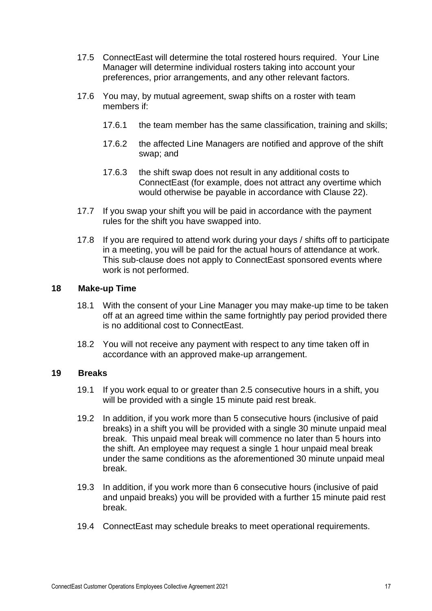- 17.5 ConnectEast will determine the total rostered hours required. Your Line Manager will determine individual rosters taking into account your preferences, prior arrangements, and any other relevant factors.
- 17.6 You may, by mutual agreement, swap shifts on a roster with team members if:
	- 17.6.1 the team member has the same classification, training and skills;
	- 17.6.2 the affected Line Managers are notified and approve of the shift swap; and
	- 17.6.3 the shift swap does not result in any additional costs to ConnectEast (for example, does not attract any overtime which would otherwise be payable in accordance with Clause [22\)](#page-21-1).
- 17.7 If you swap your shift you will be paid in accordance with the payment rules for the shift you have swapped into.
- 17.8 If you are required to attend work during your days / shifts off to participate in a meeting, you will be paid for the actual hours of attendance at work. This sub-clause does not apply to ConnectEast sponsored events where work is not performed.

#### <span id="page-20-0"></span>**18 Make-up Time**

- 18.1 With the consent of your Line Manager you may make-up time to be taken off at an agreed time within the same fortnightly pay period provided there is no additional cost to ConnectEast.
- 18.2 You will not receive any payment with respect to any time taken off in accordance with an approved make-up arrangement.

#### <span id="page-20-1"></span>**19 Breaks**

- 19.1 If you work equal to or greater than 2.5 consecutive hours in a shift, you will be provided with a single 15 minute paid rest break.
- 19.2 In addition, if you work more than 5 consecutive hours (inclusive of paid breaks) in a shift you will be provided with a single 30 minute unpaid meal break. This unpaid meal break will commence no later than 5 hours into the shift. An employee may request a single 1 hour unpaid meal break under the same conditions as the aforementioned 30 minute unpaid meal break.
- 19.3 In addition, if you work more than 6 consecutive hours (inclusive of paid and unpaid breaks) you will be provided with a further 15 minute paid rest break.
- <span id="page-20-2"></span>19.4 ConnectEast may schedule breaks to meet operational requirements.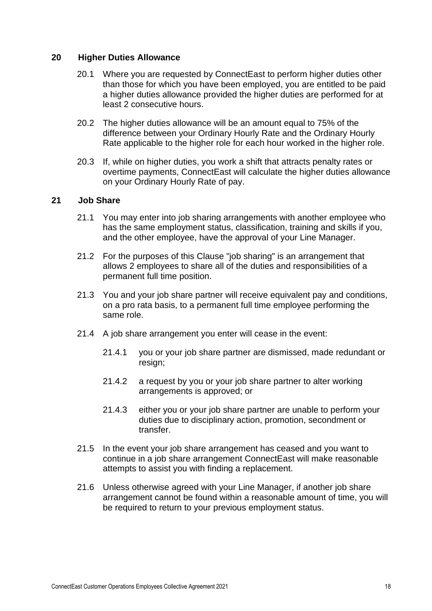#### **20 Higher Duties Allowance**

- 20.1 Where you are requested by ConnectEast to perform higher duties other than those for which you have been employed, you are entitled to be paid a higher duties allowance provided the higher duties are performed for at least 2 consecutive hours.
- 20.2 The higher duties allowance will be an amount equal to 75% of the difference between your Ordinary Hourly Rate and the Ordinary Hourly Rate applicable to the higher role for each hour worked in the higher role.
- 20.3 If, while on higher duties, you work a shift that attracts penalty rates or overtime payments, ConnectEast will calculate the higher duties allowance on your Ordinary Hourly Rate of pay.

#### <span id="page-21-0"></span>**21 Job Share**

- 21.1 You may enter into job sharing arrangements with another employee who has the same employment status, classification, training and skills if you, and the other employee, have the approval of your Line Manager.
- 21.2 For the purposes of this Clause "job sharing" is an arrangement that allows 2 employees to share all of the duties and responsibilities of a permanent full time position.
- 21.3 You and your job share partner will receive equivalent pay and conditions, on a pro rata basis, to a permanent full time employee performing the same role.
- 21.4 A job share arrangement you enter will cease in the event:
	- 21.4.1 you or your job share partner are dismissed, made redundant or resign;
	- 21.4.2 a request by you or your job share partner to alter working arrangements is approved; or
	- 21.4.3 either you or your job share partner are unable to perform your duties due to disciplinary action, promotion, secondment or transfer.
- 21.5 In the event your job share arrangement has ceased and you want to continue in a job share arrangement ConnectEast will make reasonable attempts to assist you with finding a replacement.
- <span id="page-21-1"></span>21.6 Unless otherwise agreed with your Line Manager, if another job share arrangement cannot be found within a reasonable amount of time, you will be required to return to your previous employment status.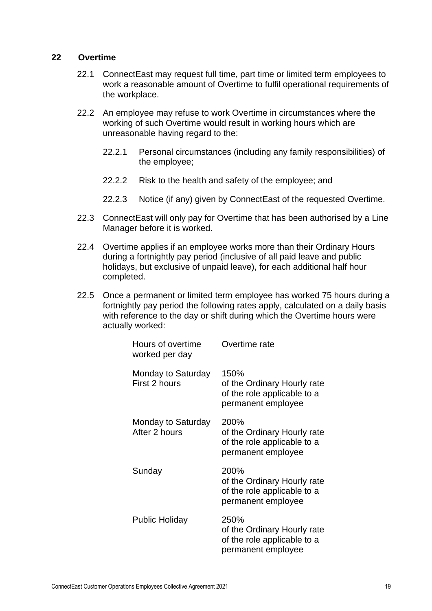#### **22 Overtime**

- 22.1 ConnectEast may request full time, part time or limited term employees to work a reasonable amount of Overtime to fulfil operational requirements of the workplace.
- 22.2 An employee may refuse to work Overtime in circumstances where the working of such Overtime would result in working hours which are unreasonable having regard to the:
	- 22.2.1 Personal circumstances (including any family responsibilities) of the employee;
	- 22.2.2 Risk to the health and safety of the employee; and
	- 22.2.3 Notice (if any) given by ConnectEast of the requested Overtime.
- 22.3 ConnectEast will only pay for Overtime that has been authorised by a Line Manager before it is worked.
- 22.4 Overtime applies if an employee works more than their Ordinary Hours during a fortnightly pay period (inclusive of all paid leave and public holidays, but exclusive of unpaid leave), for each additional half hour completed.
- 22.5 Once a permanent or limited term employee has worked 75 hours during a fortnightly pay period the following rates apply, calculated on a daily basis with reference to the day or shift during which the Overtime hours were actually worked:

| Hours of overtime<br>worked per day | Overtime rate                                                                            |
|-------------------------------------|------------------------------------------------------------------------------------------|
| Monday to Saturday<br>First 2 hours | 150%<br>of the Ordinary Hourly rate<br>of the role applicable to a<br>permanent employee |
| Monday to Saturday<br>After 2 hours | 200%<br>of the Ordinary Hourly rate<br>of the role applicable to a<br>permanent employee |
| Sunday                              | 200%<br>of the Ordinary Hourly rate<br>of the role applicable to a<br>permanent employee |
| <b>Public Holiday</b>               | 250%<br>of the Ordinary Hourly rate<br>of the role applicable to a<br>permanent employee |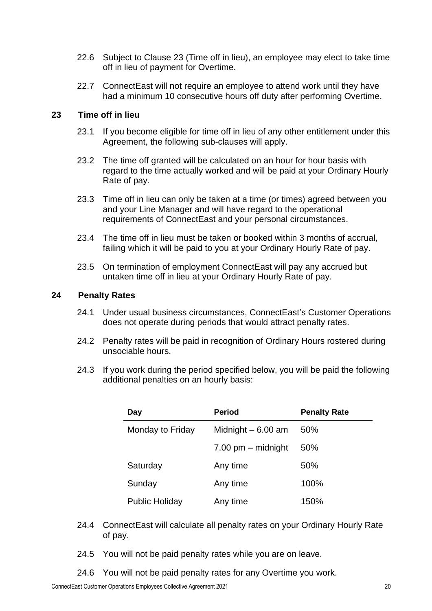- 22.6 Subject to Clause [23](#page-23-0) (Time off in lieu), an employee may elect to take time off in lieu of payment for Overtime.
- 22.7 ConnectEast will not require an employee to attend work until they have had a minimum 10 consecutive hours off duty after performing Overtime.

#### <span id="page-23-0"></span>**23 Time off in lieu**

- 23.1 If you become eligible for time off in lieu of any other entitlement under this Agreement, the following sub-clauses will apply.
- 23.2 The time off granted will be calculated on an hour for hour basis with regard to the time actually worked and will be paid at your Ordinary Hourly Rate of pay.
- 23.3 Time off in lieu can only be taken at a time (or times) agreed between you and your Line Manager and will have regard to the operational requirements of ConnectEast and your personal circumstances.
- 23.4 The time off in lieu must be taken or booked within 3 months of accrual, failing which it will be paid to you at your Ordinary Hourly Rate of pay.
- 23.5 On termination of employment ConnectEast will pay any accrued but untaken time off in lieu at your Ordinary Hourly Rate of pay.

#### <span id="page-23-1"></span>**24 Penalty Rates**

- 24.1 Under usual business circumstances, ConnectEast's Customer Operations does not operate during periods that would attract penalty rates.
- 24.2 Penalty rates will be paid in recognition of Ordinary Hours rostered during unsociable hours.
- 24.3 If you work during the period specified below, you will be paid the following additional penalties on an hourly basis:

| Day                   | <b>Period</b>          | <b>Penalty Rate</b> |
|-----------------------|------------------------|---------------------|
| Monday to Friday      | Midnight $-6.00$ am    | 50%                 |
|                       | $7.00$ pm $-$ midnight | 50%                 |
| Saturday              | Any time               | 50%                 |
| Sunday                | Any time               | 100%                |
| <b>Public Holiday</b> | Any time               | 150%                |

- 24.4 ConnectEast will calculate all penalty rates on your Ordinary Hourly Rate of pay.
- 24.5 You will not be paid penalty rates while you are on leave.
- 24.6 You will not be paid penalty rates for any Overtime you work.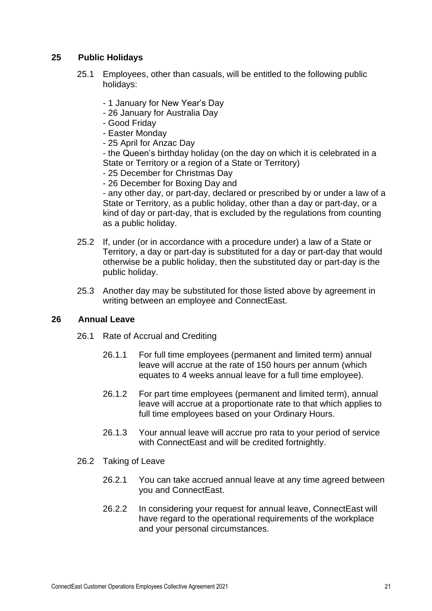## <span id="page-24-0"></span>**25 Public Holidays**

- 25.1 Employees, other than casuals, will be entitled to the following public holidays:
	- 1 January for New Year's Day
	- 26 January for Australia Day
	- Good Friday
	- Easter Monday
	- 25 April for Anzac Day

- the Queen's birthday holiday (on the day on which it is celebrated in a State or Territory or a region of a State or Territory)

- 25 December for Christmas Day
- 26 December for Boxing Day and

- any other day, or part-day, declared or prescribed by or under a law of a State or Territory, as a public holiday, other than a day or part-day, or a kind of day or part-day, that is excluded by the regulations from counting as a public holiday.

- 25.2 If, under (or in accordance with a procedure under) a law of a State or Territory, a day or part-day is substituted for a day or part-day that would otherwise be a public holiday, then the substituted day or part-day is the public holiday.
- 25.3 Another day may be substituted for those listed above by agreement in writing between an employee and ConnectEast.

## <span id="page-24-1"></span>**26 Annual Leave**

- 26.1 Rate of Accrual and Crediting
	- 26.1.1 For full time employees (permanent and limited term) annual leave will accrue at the rate of 150 hours per annum (which equates to 4 weeks annual leave for a full time employee).
	- 26.1.2 For part time employees (permanent and limited term), annual leave will accrue at a proportionate rate to that which applies to full time employees based on your Ordinary Hours.
	- 26.1.3 Your annual leave will accrue pro rata to your period of service with ConnectEast and will be credited fortnightly.
- 26.2 Taking of Leave
	- 26.2.1 You can take accrued annual leave at any time agreed between you and ConnectEast.
	- 26.2.2 In considering your request for annual leave, ConnectEast will have regard to the operational requirements of the workplace and your personal circumstances.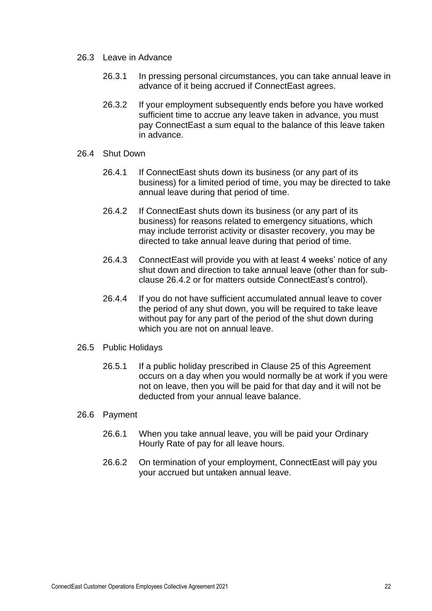#### 26.3 Leave in Advance

- 26.3.1 In pressing personal circumstances, you can take annual leave in advance of it being accrued if ConnectEast agrees.
- 26.3.2 If your employment subsequently ends before you have worked sufficient time to accrue any leave taken in advance, you must pay ConnectEast a sum equal to the balance of this leave taken in advance.

#### 26.4 Shut Down

- 26.4.1 If ConnectEast shuts down its business (or any part of its business) for a limited period of time, you may be directed to take annual leave during that period of time.
- 26.4.2 If ConnectEast shuts down its business (or any part of its business) for reasons related to emergency situations, which may include terrorist activity or disaster recovery, you may be directed to take annual leave during that period of time.
- 26.4.3 ConnectEast will provide you with at least 4 weeks' notice of any shut down and direction to take annual leave (other than for subclause 26.4.2 or for matters outside ConnectEast's control).
- 26.4.4 If you do not have sufficient accumulated annual leave to cover the period of any shut down, you will be required to take leave without pay for any part of the period of the shut down during which you are not on annual leave.

#### 26.5 Public Holidays

26.5.1 If a public holiday prescribed in Clause [25](#page-24-0) of this Agreement occurs on a day when you would normally be at work if you were not on leave, then you will be paid for that day and it will not be deducted from your annual leave balance.

#### 26.6 Payment

- 26.6.1 When you take annual leave, you will be paid your Ordinary Hourly Rate of pay for all leave hours.
- 26.6.2 On termination of your employment, ConnectEast will pay you your accrued but untaken annual leave.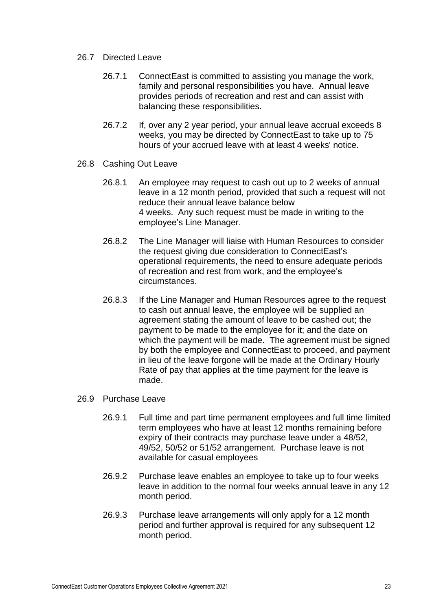#### 26.7 Directed Leave

- 26.7.1 ConnectEast is committed to assisting you manage the work, family and personal responsibilities you have. Annual leave provides periods of recreation and rest and can assist with balancing these responsibilities.
- 26.7.2 If, over any 2 year period, your annual leave accrual exceeds 8 weeks, you may be directed by ConnectEast to take up to 75 hours of your accrued leave with at least 4 weeks' notice.
- 26.8 Cashing Out Leave
	- 26.8.1 An employee may request to cash out up to 2 weeks of annual leave in a 12 month period, provided that such a request will not reduce their annual leave balance below 4 weeks. Any such request must be made in writing to the employee's Line Manager.
	- 26.8.2 The Line Manager will liaise with Human Resources to consider the request giving due consideration to ConnectEast's operational requirements, the need to ensure adequate periods of recreation and rest from work, and the employee's circumstances.
	- 26.8.3 If the Line Manager and Human Resources agree to the request to cash out annual leave, the employee will be supplied an agreement stating the amount of leave to be cashed out; the payment to be made to the employee for it; and the date on which the payment will be made. The agreement must be signed by both the employee and ConnectEast to proceed, and payment in lieu of the leave forgone will be made at the Ordinary Hourly Rate of pay that applies at the time payment for the leave is made.
- 26.9 Purchase Leave
	- 26.9.1 Full time and part time permanent employees and full time limited term employees who have at least 12 months remaining before expiry of their contracts may purchase leave under a 48/52, 49/52, 50/52 or 51/52 arrangement. Purchase leave is not available for casual employees
	- 26.9.2 Purchase leave enables an employee to take up to four weeks leave in addition to the normal four weeks annual leave in any 12 month period.
	- 26.9.3 Purchase leave arrangements will only apply for a 12 month period and further approval is required for any subsequent 12 month period.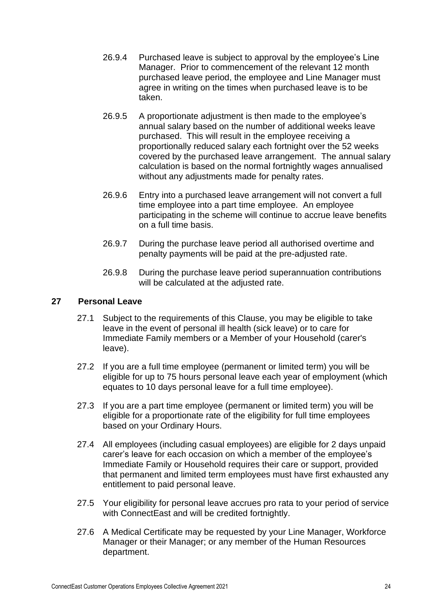- 26.9.4 Purchased leave is subject to approval by the employee's Line Manager. Prior to commencement of the relevant 12 month purchased leave period, the employee and Line Manager must agree in writing on the times when purchased leave is to be taken.
- 26.9.5 A proportionate adjustment is then made to the employee's annual salary based on the number of additional weeks leave purchased. This will result in the employee receiving a proportionally reduced salary each fortnight over the 52 weeks covered by the purchased leave arrangement. The annual salary calculation is based on the normal fortnightly wages annualised without any adjustments made for penalty rates.
- 26.9.6 Entry into a purchased leave arrangement will not convert a full time employee into a part time employee. An employee participating in the scheme will continue to accrue leave benefits on a full time basis.
- 26.9.7 During the purchase leave period all authorised overtime and penalty payments will be paid at the pre-adjusted rate.
- 26.9.8 During the purchase leave period superannuation contributions will be calculated at the adjusted rate.

## <span id="page-27-0"></span>**27 Personal Leave**

- 27.1 Subject to the requirements of this Clause, you may be eligible to take leave in the event of personal ill health (sick leave) or to care for Immediate Family members or a Member of your Household (carer's leave).
- 27.2 If you are a full time employee (permanent or limited term) you will be eligible for up to 75 hours personal leave each year of employment (which equates to 10 days personal leave for a full time employee).
- 27.3 If you are a part time employee (permanent or limited term) you will be eligible for a proportionate rate of the eligibility for full time employees based on your Ordinary Hours.
- 27.4 All employees (including casual employees) are eligible for 2 days unpaid carer's leave for each occasion on which a member of the employee's Immediate Family or Household requires their care or support, provided that permanent and limited term employees must have first exhausted any entitlement to paid personal leave.
- 27.5 Your eligibility for personal leave accrues pro rata to your period of service with ConnectEast and will be credited fortnightly.
- 27.6 A Medical Certificate may be requested by your Line Manager, Workforce Manager or their Manager; or any member of the Human Resources department.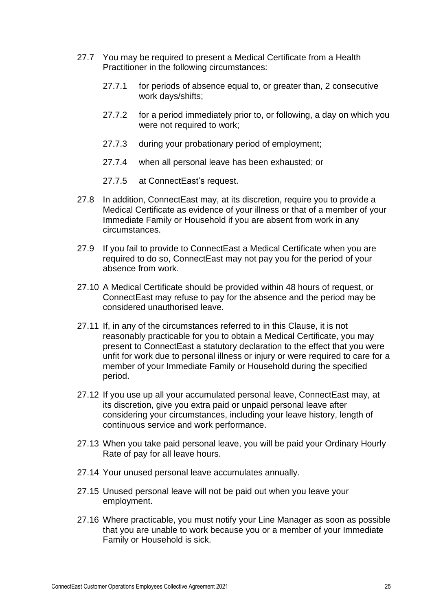- 27.7 You may be required to present a Medical Certificate from a Health Practitioner in the following circumstances:
	- 27.7.1 for periods of absence equal to, or greater than, 2 consecutive work days/shifts;
	- 27.7.2 for a period immediately prior to, or following, a day on which you were not required to work;
	- 27.7.3 during your probationary period of employment;
	- 27.7.4 when all personal leave has been exhausted; or
	- 27.7.5 at ConnectEast's request.
- 27.8 In addition, ConnectEast may, at its discretion, require you to provide a Medical Certificate as evidence of your illness or that of a member of your Immediate Family or Household if you are absent from work in any circumstances.
- 27.9 If you fail to provide to ConnectEast a Medical Certificate when you are required to do so, ConnectEast may not pay you for the period of your absence from work.
- 27.10 A Medical Certificate should be provided within 48 hours of request, or ConnectEast may refuse to pay for the absence and the period may be considered unauthorised leave.
- 27.11 If, in any of the circumstances referred to in this Clause, it is not reasonably practicable for you to obtain a Medical Certificate, you may present to ConnectEast a statutory declaration to the effect that you were unfit for work due to personal illness or injury or were required to care for a member of your Immediate Family or Household during the specified period.
- 27.12 If you use up all your accumulated personal leave, ConnectEast may, at its discretion, give you extra paid or unpaid personal leave after considering your circumstances, including your leave history, length of continuous service and work performance.
- 27.13 When you take paid personal leave, you will be paid your Ordinary Hourly Rate of pay for all leave hours.
- 27.14 Your unused personal leave accumulates annually.
- 27.15 Unused personal leave will not be paid out when you leave your employment.
- 27.16 Where practicable, you must notify your Line Manager as soon as possible that you are unable to work because you or a member of your Immediate Family or Household is sick.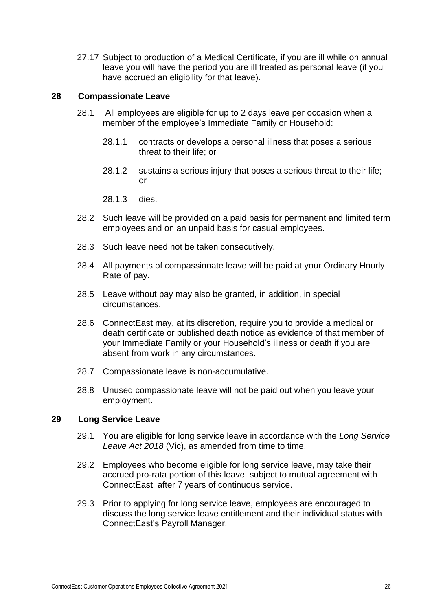27.17 Subject to production of a Medical Certificate, if you are ill while on annual leave you will have the period you are ill treated as personal leave (if you have accrued an eligibility for that leave).

#### <span id="page-29-0"></span>**28 Compassionate Leave**

- 28.1 All employees are eligible for up to 2 days leave per occasion when a member of the employee's Immediate Family or Household:
	- 28.1.1 contracts or develops a personal illness that poses a serious threat to their life; or
	- 28.1.2 sustains a serious injury that poses a serious threat to their life; or
	- 28.1.3 dies.
- 28.2 Such leave will be provided on a paid basis for permanent and limited term employees and on an unpaid basis for casual employees.
- 28.3 Such leave need not be taken consecutively.
- 28.4 All payments of compassionate leave will be paid at your Ordinary Hourly Rate of pay.
- 28.5 Leave without pay may also be granted, in addition, in special circumstances.
- 28.6 ConnectEast may, at its discretion, require you to provide a medical or death certificate or published death notice as evidence of that member of your Immediate Family or your Household's illness or death if you are absent from work in any circumstances.
- 28.7 Compassionate leave is non-accumulative.
- 28.8 Unused compassionate leave will not be paid out when you leave your employment.

## <span id="page-29-1"></span>**29 Long Service Leave**

- 29.1 You are eligible for long service leave in accordance with the *Long Service Leave Act 2018* (Vic), as amended from time to time.
- 29.2 Employees who become eligible for long service leave, may take their accrued pro-rata portion of this leave, subject to mutual agreement with ConnectEast, after 7 years of continuous service.
- <span id="page-29-2"></span>29.3 Prior to applying for long service leave, employees are encouraged to discuss the long service leave entitlement and their individual status with ConnectEast's Payroll Manager.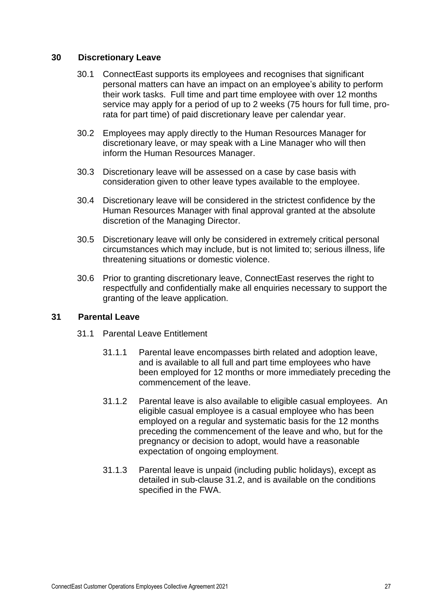## **30 Discretionary Leave**

- 30.1 ConnectEast supports its employees and recognises that significant personal matters can have an impact on an employee's ability to perform their work tasks. Full time and part time employee with over 12 months service may apply for a period of up to 2 weeks (75 hours for full time, prorata for part time) of paid discretionary leave per calendar year.
- 30.2 Employees may apply directly to the Human Resources Manager for discretionary leave, or may speak with a Line Manager who will then inform the Human Resources Manager.
- 30.3 Discretionary leave will be assessed on a case by case basis with consideration given to other leave types available to the employee.
- 30.4 Discretionary leave will be considered in the strictest confidence by the Human Resources Manager with final approval granted at the absolute discretion of the Managing Director.
- 30.5 Discretionary leave will only be considered in extremely critical personal circumstances which may include, but is not limited to; serious illness, life threatening situations or domestic violence.
- 30.6 Prior to granting discretionary leave, ConnectEast reserves the right to respectfully and confidentially make all enquiries necessary to support the granting of the leave application.

#### <span id="page-30-0"></span>**31 Parental Leave**

- 31.1 Parental Leave Entitlement
	- 31.1.1 Parental leave encompasses birth related and adoption leave, and is available to all full and part time employees who have been employed for 12 months or more immediately preceding the commencement of the leave.
	- 31.1.2 Parental leave is also available to eligible casual employees. An eligible casual employee is a casual employee who has been employed on a regular and systematic basis for the 12 months preceding the commencement of the leave and who, but for the pregnancy or decision to adopt, would have a reasonable expectation of ongoing employment.
	- 31.1.3 Parental leave is unpaid (including public holidays), except as detailed in sub-clause 31.2, and is available on the conditions specified in the FWA.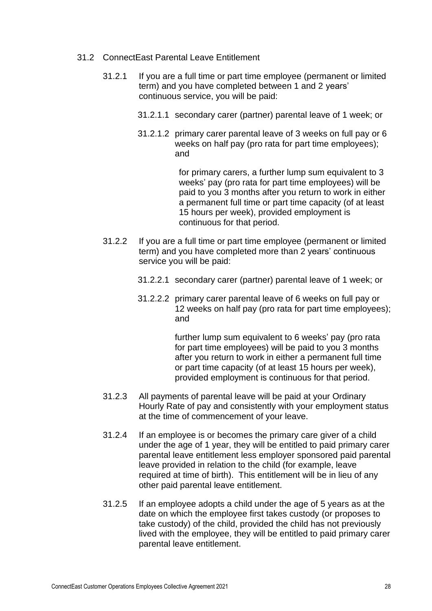- 31.2 ConnectEast Parental Leave Entitlement
	- 31.2.1 If you are a full time or part time employee (permanent or limited term) and you have completed between 1 and 2 years' continuous service, you will be paid:
		- 31.2.1.1 secondary carer (partner) parental leave of 1 week; or
		- 31.2.1.2 primary carer parental leave of 3 weeks on full pay or 6 weeks on half pay (pro rata for part time employees); and

for primary carers, a further lump sum equivalent to 3 weeks' pay (pro rata for part time employees) will be paid to you 3 months after you return to work in either a permanent full time or part time capacity (of at least 15 hours per week), provided employment is continuous for that period.

- 31.2.2 If you are a full time or part time employee (permanent or limited term) and you have completed more than 2 years' continuous service you will be paid:
	- 31.2.2.1 secondary carer (partner) parental leave of 1 week; or
	- 31.2.2.2 primary carer parental leave of 6 weeks on full pay or 12 weeks on half pay (pro rata for part time employees); and

further lump sum equivalent to 6 weeks' pay (pro rata for part time employees) will be paid to you 3 months after you return to work in either a permanent full time or part time capacity (of at least 15 hours per week), provided employment is continuous for that period.

- 31.2.3 All payments of parental leave will be paid at your Ordinary Hourly Rate of pay and consistently with your employment status at the time of commencement of your leave.
- 31.2.4 If an employee is or becomes the primary care giver of a child under the age of 1 year, they will be entitled to paid primary carer parental leave entitlement less employer sponsored paid parental leave provided in relation to the child (for example, leave required at time of birth). This entitlement will be in lieu of any other paid parental leave entitlement.
- 31.2.5 If an employee adopts a child under the age of 5 years as at the date on which the employee first takes custody (or proposes to take custody) of the child, provided the child has not previously lived with the employee, they will be entitled to paid primary carer parental leave entitlement.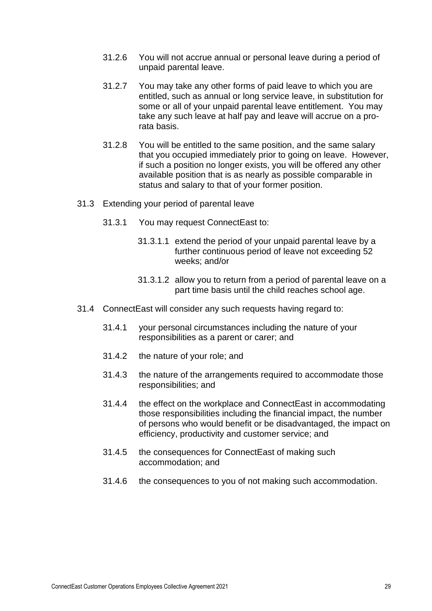- 31.2.6 You will not accrue annual or personal leave during a period of unpaid parental leave.
- 31.2.7 You may take any other forms of paid leave to which you are entitled, such as annual or long service leave, in substitution for some or all of your unpaid parental leave entitlement. You may take any such leave at half pay and leave will accrue on a prorata basis.
- 31.2.8 You will be entitled to the same position, and the same salary that you occupied immediately prior to going on leave. However, if such a position no longer exists, you will be offered any other available position that is as nearly as possible comparable in status and salary to that of your former position.
- 31.3 Extending your period of parental leave
	- 31.3.1 You may request ConnectEast to:
		- 31.3.1.1 extend the period of your unpaid parental leave by a further continuous period of leave not exceeding 52 weeks; and/or
		- 31.3.1.2 allow you to return from a period of parental leave on a part time basis until the child reaches school age.
- <span id="page-32-0"></span>31.4 ConnectEast will consider any such requests having regard to:
	- 31.4.1 your personal circumstances including the nature of your responsibilities as a parent or carer; and
	- 31.4.2 the nature of your role; and
	- 31.4.3 the nature of the arrangements required to accommodate those responsibilities; and
	- 31.4.4 the effect on the workplace and ConnectEast in accommodating those responsibilities including the financial impact, the number of persons who would benefit or be disadvantaged, the impact on efficiency, productivity and customer service; and
	- 31.4.5 the consequences for ConnectEast of making such accommodation; and
	- 31.4.6 the consequences to you of not making such accommodation.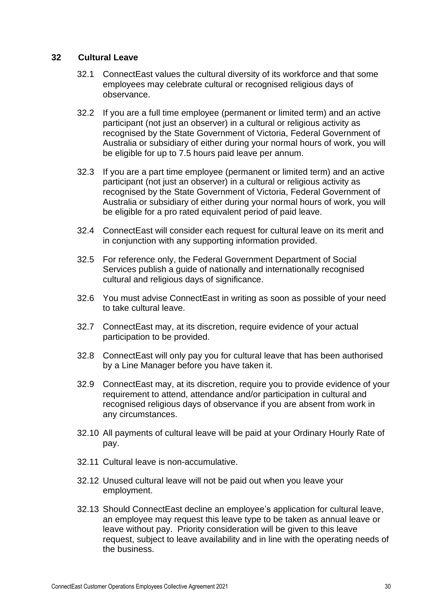#### **32 Cultural Leave**

- 32.1 ConnectEast values the cultural diversity of its workforce and that some employees may celebrate cultural or recognised religious days of observance.
- 32.2 If you are a full time employee (permanent or limited term) and an active participant (not just an observer) in a cultural or religious activity as recognised by the State Government of Victoria, Federal Government of Australia or subsidiary of either during your normal hours of work, you will be eligible for up to 7.5 hours paid leave per annum.
- 32.3 If you are a part time employee (permanent or limited term) and an active participant (not just an observer) in a cultural or religious activity as recognised by the State Government of Victoria, Federal Government of Australia or subsidiary of either during your normal hours of work, you will be eligible for a pro rated equivalent period of paid leave.
- 32.4 ConnectEast will consider each request for cultural leave on its merit and in conjunction with any supporting information provided.
- 32.5 For reference only, the Federal Government Department of Social Services publish a guide of nationally and internationally recognised cultural and religious days of significance.
- 32.6 You must advise ConnectEast in writing as soon as possible of your need to take cultural leave.
- 32.7 ConnectEast may, at its discretion, require evidence of your actual participation to be provided.
- 32.8 ConnectEast will only pay you for cultural leave that has been authorised by a Line Manager before you have taken it.
- 32.9 ConnectEast may, at its discretion, require you to provide evidence of your requirement to attend, attendance and/or participation in cultural and recognised religious days of observance if you are absent from work in any circumstances.
- 32.10 All payments of cultural leave will be paid at your Ordinary Hourly Rate of pay.
- 32.11 Cultural leave is non-accumulative.
- 32.12 Unused cultural leave will not be paid out when you leave your employment.
- <span id="page-33-0"></span>32.13 Should ConnectEast decline an employee's application for cultural leave, an employee may request this leave type to be taken as annual leave or leave without pay. Priority consideration will be given to this leave request, subject to leave availability and in line with the operating needs of the business.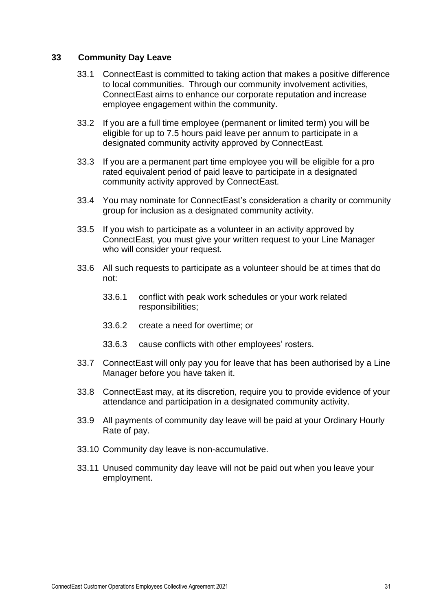#### **33 Community Day Leave**

- 33.1 ConnectEast is committed to taking action that makes a positive difference to local communities. Through our community involvement activities, ConnectEast aims to enhance our corporate reputation and increase employee engagement within the community.
- 33.2 If you are a full time employee (permanent or limited term) you will be eligible for up to 7.5 hours paid leave per annum to participate in a designated community activity approved by ConnectEast.
- 33.3 If you are a permanent part time employee you will be eligible for a pro rated equivalent period of paid leave to participate in a designated community activity approved by ConnectEast.
- 33.4 You may nominate for ConnectEast's consideration a charity or community group for inclusion as a designated community activity.
- 33.5 If you wish to participate as a volunteer in an activity approved by ConnectEast, you must give your written request to your Line Manager who will consider your request.
- 33.6 All such requests to participate as a volunteer should be at times that do not:
	- 33.6.1 conflict with peak work schedules or your work related responsibilities;
	- 33.6.2 create a need for overtime; or
	- 33.6.3 cause conflicts with other employees' rosters.
- 33.7 ConnectEast will only pay you for leave that has been authorised by a Line Manager before you have taken it.
- 33.8 ConnectEast may, at its discretion, require you to provide evidence of your attendance and participation in a designated community activity.
- 33.9 All payments of community day leave will be paid at your Ordinary Hourly Rate of pay.
- 33.10 Community day leave is non-accumulative.
- <span id="page-34-0"></span>33.11 Unused community day leave will not be paid out when you leave your employment.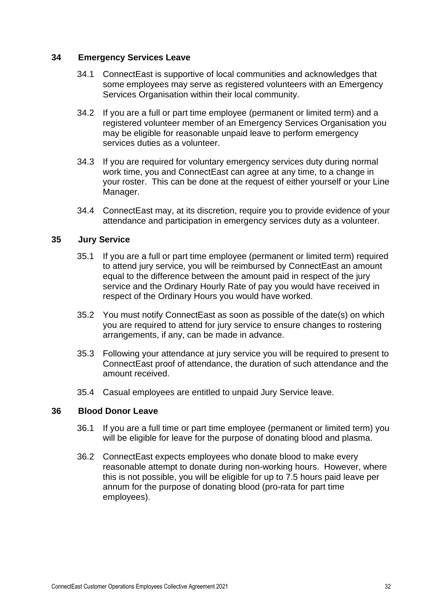#### **34 Emergency Services Leave**

- 34.1 ConnectEast is supportive of local communities and acknowledges that some employees may serve as registered volunteers with an Emergency Services Organisation within their local community.
- 34.2 If you are a full or part time employee (permanent or limited term) and a registered volunteer member of an Emergency Services Organisation you may be eligible for reasonable unpaid leave to perform emergency services duties as a volunteer.
- 34.3 If you are required for voluntary emergency services duty during normal work time, you and ConnectEast can agree at any time, to a change in your roster. This can be done at the request of either yourself or your Line Manager.
- 34.4 ConnectEast may, at its discretion, require you to provide evidence of your attendance and participation in emergency services duty as a volunteer.

## <span id="page-35-0"></span>**35 Jury Service**

- 35.1 If you are a full or part time employee (permanent or limited term) required to attend jury service, you will be reimbursed by ConnectEast an amount equal to the difference between the amount paid in respect of the jury service and the Ordinary Hourly Rate of pay you would have received in respect of the Ordinary Hours you would have worked.
- 35.2 You must notify ConnectEast as soon as possible of the date(s) on which you are required to attend for jury service to ensure changes to rostering arrangements, if any, can be made in advance.
- 35.3 Following your attendance at jury service you will be required to present to ConnectEast proof of attendance, the duration of such attendance and the amount received.
- 35.4 Casual employees are entitled to unpaid Jury Service leave.

#### <span id="page-35-1"></span>**36 Blood Donor Leave**

- 36.1 If you are a full time or part time employee (permanent or limited term) you will be eligible for leave for the purpose of donating blood and plasma.
- 36.2 ConnectEast expects employees who donate blood to make every reasonable attempt to donate during non-working hours. However, where this is not possible, you will be eligible for up to 7.5 hours paid leave per annum for the purpose of donating blood (pro-rata for part time employees).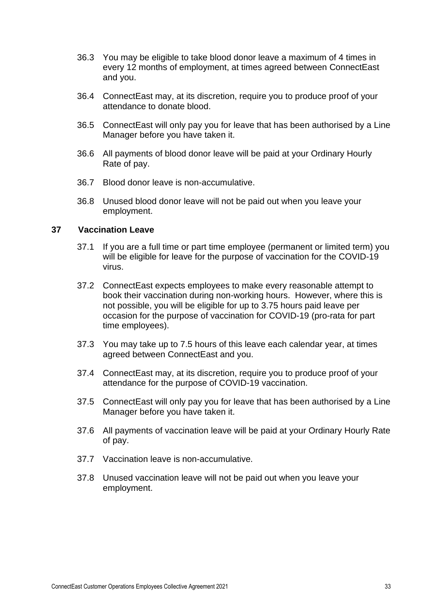- 36.3 You may be eligible to take blood donor leave a maximum of 4 times in every 12 months of employment, at times agreed between ConnectEast and you.
- 36.4 ConnectEast may, at its discretion, require you to produce proof of your attendance to donate blood.
- 36.5 ConnectEast will only pay you for leave that has been authorised by a Line Manager before you have taken it.
- 36.6 All payments of blood donor leave will be paid at your Ordinary Hourly Rate of pay.
- 36.7 Blood donor leave is non-accumulative.
- 36.8 Unused blood donor leave will not be paid out when you leave your employment.

#### <span id="page-36-0"></span>**37 Vaccination Leave**

- 37.1 If you are a full time or part time employee (permanent or limited term) you will be eligible for leave for the purpose of vaccination for the COVID-19 virus.
- 37.2 ConnectEast expects employees to make every reasonable attempt to book their vaccination during non-working hours. However, where this is not possible, you will be eligible for up to 3.75 hours paid leave per occasion for the purpose of vaccination for COVID-19 (pro-rata for part time employees).
- 37.3 You may take up to 7.5 hours of this leave each calendar year, at times agreed between ConnectEast and you.
- 37.4 ConnectEast may, at its discretion, require you to produce proof of your attendance for the purpose of COVID-19 vaccination.
- 37.5 ConnectEast will only pay you for leave that has been authorised by a Line Manager before you have taken it.
- 37.6 All payments of vaccination leave will be paid at your Ordinary Hourly Rate of pay.
- 37.7 Vaccination leave is non-accumulative.
- <span id="page-36-1"></span>37.8 Unused vaccination leave will not be paid out when you leave your employment.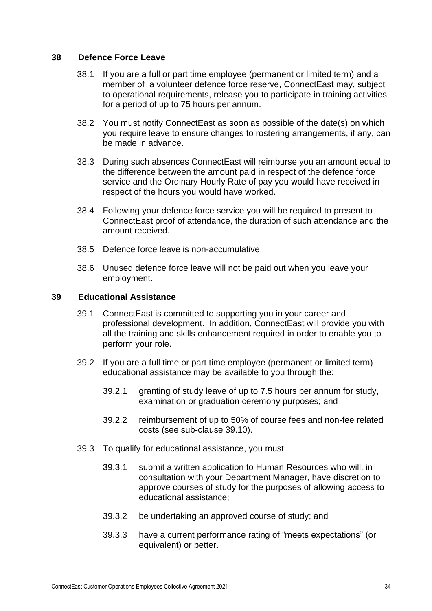#### **38 Defence Force Leave**

- 38.1 If you are a full or part time employee (permanent or limited term) and a member of a volunteer defence force reserve, ConnectEast may, subject to operational requirements, release you to participate in training activities for a period of up to 75 hours per annum.
- 38.2 You must notify ConnectEast as soon as possible of the date(s) on which you require leave to ensure changes to rostering arrangements, if any, can be made in advance.
- 38.3 During such absences ConnectEast will reimburse you an amount equal to the difference between the amount paid in respect of the defence force service and the Ordinary Hourly Rate of pay you would have received in respect of the hours you would have worked.
- 38.4 Following your defence force service you will be required to present to ConnectEast proof of attendance, the duration of such attendance and the amount received.
- 38.5 Defence force leave is non-accumulative.
- 38.6 Unused defence force leave will not be paid out when you leave your employment.

#### <span id="page-37-0"></span>**39 Educational Assistance**

- 39.1 ConnectEast is committed to supporting you in your career and professional development. In addition, ConnectEast will provide you with all the training and skills enhancement required in order to enable you to perform your role.
- 39.2 If you are a full time or part time employee (permanent or limited term) educational assistance may be available to you through the:
	- 39.2.1 granting of study leave of up to 7.5 hours per annum for study, examination or graduation ceremony purposes; and
	- 39.2.2 reimbursement of up to 50% of course fees and non-fee related costs (see sub-clause [39.10\)](#page-38-0).
- 39.3 To qualify for educational assistance, you must:
	- 39.3.1 submit a written application to Human Resources who will, in consultation with your Department Manager, have discretion to approve courses of study for the purposes of allowing access to educational assistance;
	- 39.3.2 be undertaking an approved course of study; and
	- 39.3.3 have a current performance rating of "meets expectations" (or equivalent) or better.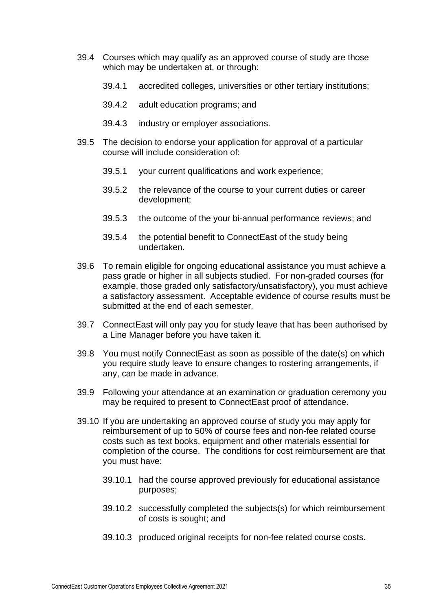- 39.4 Courses which may qualify as an approved course of study are those which may be undertaken at, or through:
	- 39.4.1 accredited colleges, universities or other tertiary institutions;
	- 39.4.2 adult education programs; and
	- 39.4.3 industry or employer associations.
- 39.5 The decision to endorse your application for approval of a particular course will include consideration of:
	- 39.5.1 your current qualifications and work experience;
	- 39.5.2 the relevance of the course to your current duties or career development;
	- 39.5.3 the outcome of the your bi-annual performance reviews; and
	- 39.5.4 the potential benefit to ConnectEast of the study being undertaken.
- 39.6 To remain eligible for ongoing educational assistance you must achieve a pass grade or higher in all subjects studied. For non-graded courses (for example, those graded only satisfactory/unsatisfactory), you must achieve a satisfactory assessment. Acceptable evidence of course results must be submitted at the end of each semester.
- 39.7 ConnectEast will only pay you for study leave that has been authorised by a Line Manager before you have taken it.
- 39.8 You must notify ConnectEast as soon as possible of the date(s) on which you require study leave to ensure changes to rostering arrangements, if any, can be made in advance.
- 39.9 Following your attendance at an examination or graduation ceremony you may be required to present to ConnectEast proof of attendance.
- <span id="page-38-0"></span>39.10 If you are undertaking an approved course of study you may apply for reimbursement of up to 50% of course fees and non-fee related course costs such as text books, equipment and other materials essential for completion of the course. The conditions for cost reimbursement are that you must have:
	- 39.10.1 had the course approved previously for educational assistance purposes;
	- 39.10.2 successfully completed the subjects(s) for which reimbursement of costs is sought; and
	- 39.10.3 produced original receipts for non-fee related course costs.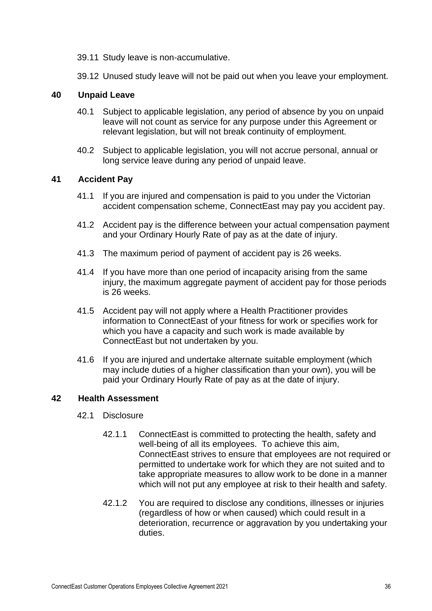- 39.11 Study leave is non-accumulative.
- 39.12 Unused study leave will not be paid out when you leave your employment.

#### <span id="page-39-0"></span>**40 Unpaid Leave**

- 40.1 Subject to applicable legislation, any period of absence by you on unpaid leave will not count as service for any purpose under this Agreement or relevant legislation, but will not break continuity of employment.
- 40.2 Subject to applicable legislation, you will not accrue personal, annual or long service leave during any period of unpaid leave.

#### <span id="page-39-1"></span>**41 Accident Pay**

- 41.1 If you are injured and compensation is paid to you under the Victorian accident compensation scheme, ConnectEast may pay you accident pay.
- 41.2 Accident pay is the difference between your actual compensation payment and your Ordinary Hourly Rate of pay as at the date of injury.
- 41.3 The maximum period of payment of accident pay is 26 weeks.
- 41.4 If you have more than one period of incapacity arising from the same injury, the maximum aggregate payment of accident pay for those periods is 26 weeks.
- 41.5 Accident pay will not apply where a Health Practitioner provides information to ConnectEast of your fitness for work or specifies work for which you have a capacity and such work is made available by ConnectEast but not undertaken by you.
- 41.6 If you are injured and undertake alternate suitable employment (which may include duties of a higher classification than your own), you will be paid your Ordinary Hourly Rate of pay as at the date of injury.

#### <span id="page-39-2"></span>**42 Health Assessment**

- 42.1 Disclosure
	- 42.1.1 ConnectEast is committed to protecting the health, safety and well-being of all its employees. To achieve this aim, ConnectEast strives to ensure that employees are not required or permitted to undertake work for which they are not suited and to take appropriate measures to allow work to be done in a manner which will not put any employee at risk to their health and safety.
	- 42.1.2 You are required to disclose any conditions, illnesses or injuries (regardless of how or when caused) which could result in a deterioration, recurrence or aggravation by you undertaking your duties.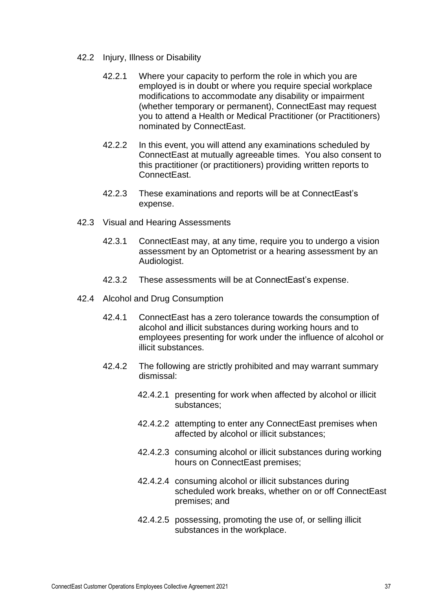- 42.2 Injury, Illness or Disability
	- 42.2.1 Where your capacity to perform the role in which you are employed is in doubt or where you require special workplace modifications to accommodate any disability or impairment (whether temporary or permanent), ConnectEast may request you to attend a Health or Medical Practitioner (or Practitioners) nominated by ConnectEast.
	- 42.2.2 In this event, you will attend any examinations scheduled by ConnectEast at mutually agreeable times. You also consent to this practitioner (or practitioners) providing written reports to ConnectEast.
	- 42.2.3 These examinations and reports will be at ConnectEast's expense.
- 42.3 Visual and Hearing Assessments
	- 42.3.1 ConnectEast may, at any time, require you to undergo a vision assessment by an Optometrist or a hearing assessment by an Audiologist.
	- 42.3.2 These assessments will be at ConnectEast's expense.
- <span id="page-40-1"></span><span id="page-40-0"></span>42.4 Alcohol and Drug Consumption
	- 42.4.1 ConnectEast has a zero tolerance towards the consumption of alcohol and illicit substances during working hours and to employees presenting for work under the influence of alcohol or illicit substances.
	- 42.4.2 The following are strictly prohibited and may warrant summary dismissal:
		- 42.4.2.1 presenting for work when affected by alcohol or illicit substances;
		- 42.4.2.2 attempting to enter any ConnectEast premises when affected by alcohol or illicit substances;
		- 42.4.2.3 consuming alcohol or illicit substances during working hours on ConnectEast premises;
		- 42.4.2.4 consuming alcohol or illicit substances during scheduled work breaks, whether on or off ConnectEast premises; and
		- 42.4.2.5 possessing, promoting the use of, or selling illicit substances in the workplace.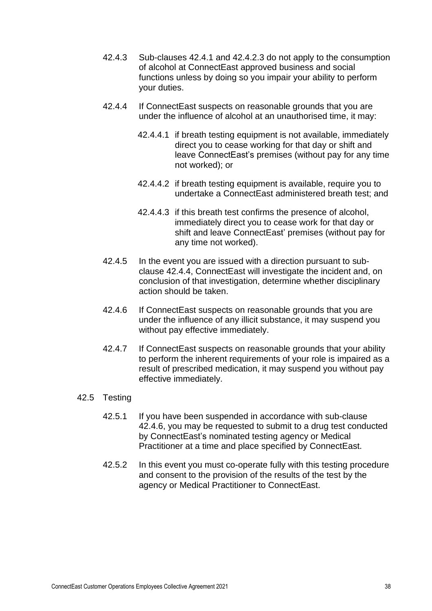- 42.4.3 Sub-clauses [42.4.1](#page-40-0) and [42.4.2.3](#page-40-1) do not apply to the consumption of alcohol at ConnectEast approved business and social functions unless by doing so you impair your ability to perform your duties.
- <span id="page-41-1"></span>42.4.4 If ConnectEast suspects on reasonable grounds that you are under the influence of alcohol at an unauthorised time, it may:
	- 42.4.4.1 if breath testing equipment is not available, immediately direct you to cease working for that day or shift and leave ConnectEast's premises (without pay for any time not worked); or
	- 42.4.4.2 if breath testing equipment is available, require you to undertake a ConnectEast administered breath test; and
	- 42.4.4.3 if this breath test confirms the presence of alcohol, immediately direct you to cease work for that day or shift and leave ConnectEast' premises (without pay for any time not worked).
- 42.4.5 In the event you are issued with a direction pursuant to subclause [42.4.4,](#page-41-1) ConnectEast will investigate the incident and, on conclusion of that investigation, determine whether disciplinary action should be taken.
- <span id="page-41-2"></span>42.4.6 If ConnectEast suspects on reasonable grounds that you are under the influence of any illicit substance, it may suspend you without pay effective immediately.
- 42.4.7 If ConnectEast suspects on reasonable grounds that your ability to perform the inherent requirements of your role is impaired as a result of prescribed medication, it may suspend you without pay effective immediately.

## 42.5 Testing

- 42.5.1 If you have been suspended in accordance with sub-clause [42.4.6,](#page-41-2) you may be requested to submit to a drug test conducted by ConnectEast's nominated testing agency or Medical Practitioner at a time and place specified by ConnectEast.
- <span id="page-41-0"></span>42.5.2 In this event you must co-operate fully with this testing procedure and consent to the provision of the results of the test by the agency or Medical Practitioner to ConnectEast.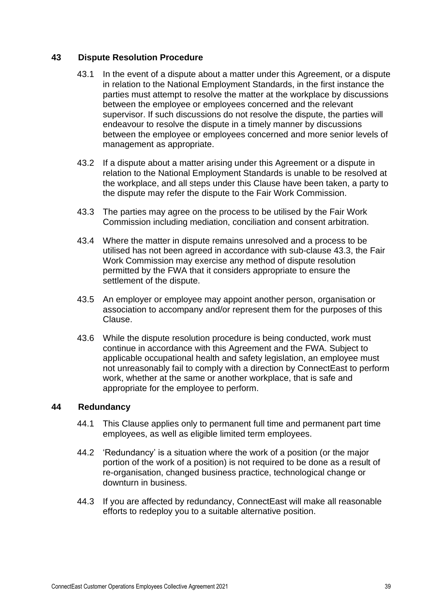## **43 Dispute Resolution Procedure**

- 43.1 In the event of a dispute about a matter under this Agreement, or a dispute in relation to the National Employment Standards, in the first instance the parties must attempt to resolve the matter at the workplace by discussions between the employee or employees concerned and the relevant supervisor. If such discussions do not resolve the dispute, the parties will endeavour to resolve the dispute in a timely manner by discussions between the employee or employees concerned and more senior levels of management as appropriate.
- 43.2 If a dispute about a matter arising under this Agreement or a dispute in relation to the National Employment Standards is unable to be resolved at the workplace, and all steps under this Clause have been taken, a party to the dispute may refer the dispute to the Fair Work Commission.
- 43.3 The parties may agree on the process to be utilised by the Fair Work Commission including mediation, conciliation and consent arbitration.
- 43.4 Where the matter in dispute remains unresolved and a process to be utilised has not been agreed in accordance with sub-clause 43.3, the Fair Work Commission may exercise any method of dispute resolution permitted by the FWA that it considers appropriate to ensure the settlement of the dispute.
- 43.5 An employer or employee may appoint another person, organisation or association to accompany and/or represent them for the purposes of this Clause.
- 43.6 While the dispute resolution procedure is being conducted, work must continue in accordance with this Agreement and the FWA. Subject to applicable occupational health and safety legislation, an employee must not unreasonably fail to comply with a direction by ConnectEast to perform work, whether at the same or another workplace, that is safe and appropriate for the employee to perform.

## <span id="page-42-0"></span>**44 Redundancy**

- 44.1 This Clause applies only to permanent full time and permanent part time employees, as well as eligible limited term employees.
- 44.2 'Redundancy' is a situation where the work of a position (or the major portion of the work of a position) is not required to be done as a result of re-organisation, changed business practice, technological change or downturn in business.
- 44.3 If you are affected by redundancy, ConnectEast will make all reasonable efforts to redeploy you to a suitable alternative position.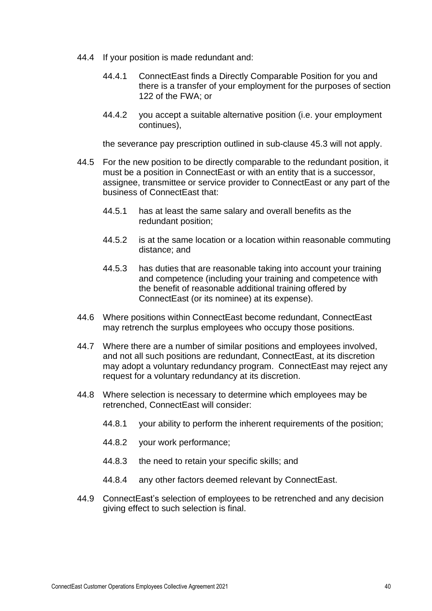- 44.4 If your position is made redundant and:
	- 44.4.1 ConnectEast finds a Directly Comparable Position for you and there is a transfer of your employment for the purposes of section 122 of the FWA; or
	- 44.4.2 you accept a suitable alternative position (i.e. your employment continues),

the severance pay prescription outlined in sub-clause [45.3](#page-44-1) will not apply.

- <span id="page-43-1"></span>44.5 For the new position to be directly comparable to the redundant position, it must be a position in ConnectEast or with an entity that is a successor, assignee, transmittee or service provider to ConnectEast or any part of the business of ConnectEast that:
	- 44.5.1 has at least the same salary and overall benefits as the redundant position;
	- 44.5.2 is at the same location or a location within reasonable commuting distance; and
	- 44.5.3 has duties that are reasonable taking into account your training and competence (including your training and competence with the benefit of reasonable additional training offered by ConnectEast (or its nominee) at its expense).
- 44.6 Where positions within ConnectEast become redundant, ConnectEast may retrench the surplus employees who occupy those positions.
- 44.7 Where there are a number of similar positions and employees involved, and not all such positions are redundant, ConnectEast, at its discretion may adopt a voluntary redundancy program. ConnectEast may reject any request for a voluntary redundancy at its discretion.
- 44.8 Where selection is necessary to determine which employees may be retrenched, ConnectEast will consider:
	- 44.8.1 your ability to perform the inherent requirements of the position;
	- 44.8.2 your work performance;
	- 44.8.3 the need to retain your specific skills; and
	- 44.8.4 any other factors deemed relevant by ConnectEast.
- <span id="page-43-0"></span>44.9 ConnectEast's selection of employees to be retrenched and any decision giving effect to such selection is final.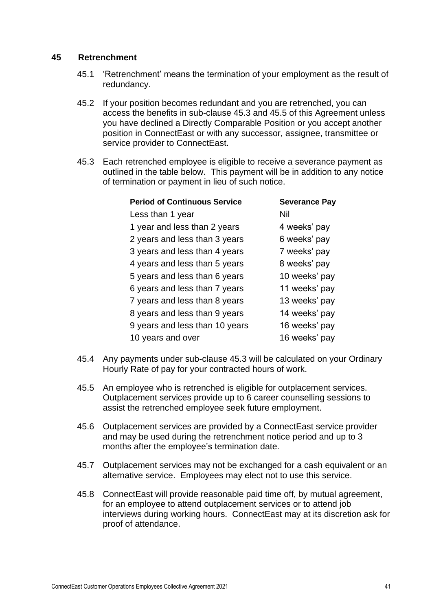## **45 Retrenchment**

- 45.1 'Retrenchment' means the termination of your employment as the result of redundancy.
- 45.2 If your position becomes redundant and you are retrenched, you can access the benefits in sub-clause [45.3](#page-44-1) and 45.5 of this Agreement unless you have declined a Directly Comparable Position or you accept another position in ConnectEast or with any successor, assignee, transmittee or service provider to ConnectEast.
- <span id="page-44-1"></span>45.3 Each retrenched employee is eligible to receive a severance payment as outlined in the table below. This payment will be in addition to any notice of termination or payment in lieu of such notice.

| <b>Period of Continuous Service</b> | <b>Severance Pay</b> |
|-------------------------------------|----------------------|
| Less than 1 year                    | Nil                  |
| 1 year and less than 2 years        | 4 weeks' pay         |
| 2 years and less than 3 years       | 6 weeks' pay         |
| 3 years and less than 4 years       | 7 weeks' pay         |
| 4 years and less than 5 years       | 8 weeks' pay         |
| 5 years and less than 6 years       | 10 weeks' pay        |
| 6 years and less than 7 years       | 11 weeks' pay        |
| 7 years and less than 8 years       | 13 weeks' pay        |
| 8 years and less than 9 years       | 14 weeks' pay        |
| 9 years and less than 10 years      | 16 weeks' pay        |
| 10 years and over                   | 16 weeks' pay        |

- 45.4 Any payments under sub-clause [45.3](#page-44-1) will be calculated on your Ordinary Hourly Rate of pay for your contracted hours of work.
- 45.5 An employee who is retrenched is eligible for outplacement services. Outplacement services provide up to 6 career counselling sessions to assist the retrenched employee seek future employment.
- 45.6 Outplacement services are provided by a ConnectEast service provider and may be used during the retrenchment notice period and up to 3 months after the employee's termination date.
- 45.7 Outplacement services may not be exchanged for a cash equivalent or an alternative service. Employees may elect not to use this service.
- <span id="page-44-0"></span>45.8 ConnectEast will provide reasonable paid time off, by mutual agreement, for an employee to attend outplacement services or to attend job interviews during working hours. ConnectEast may at its discretion ask for proof of attendance.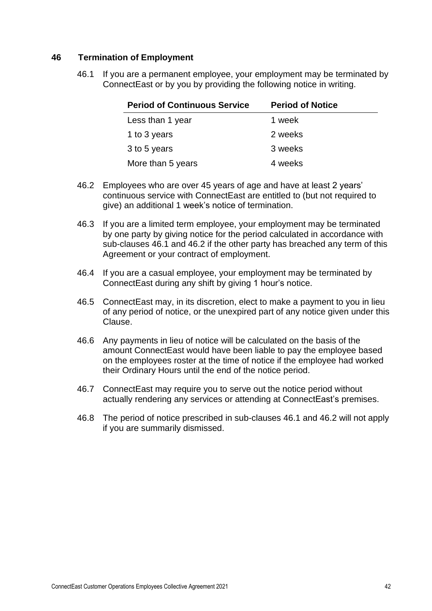#### <span id="page-45-0"></span>**46 Termination of Employment**

46.1 If you are a permanent employee, your employment may be terminated by ConnectEast or by you by providing the following notice in writing.

| <b>Period of Continuous Service</b> | <b>Period of Notice</b> |
|-------------------------------------|-------------------------|
| Less than 1 year                    | 1 week                  |
| 1 to 3 years                        | 2 weeks                 |
| 3 to 5 years                        | 3 weeks                 |
| More than 5 years                   | 4 weeks                 |

- <span id="page-45-1"></span>46.2 Employees who are over 45 years of age and have at least 2 years' continuous service with ConnectEast are entitled to (but not required to give) an additional 1 week's notice of termination.
- 46.3 If you are a limited term employee, your employment may be terminated by one party by giving notice for the period calculated in accordance with sub-clauses [46.1](#page-45-0) and [46.2](#page-45-1) if the other party has breached any term of this Agreement or your contract of employment.
- 46.4 If you are a casual employee, your employment may be terminated by ConnectEast during any shift by giving 1 hour's notice.
- 46.5 ConnectEast may, in its discretion, elect to make a payment to you in lieu of any period of notice, or the unexpired part of any notice given under this Clause.
- 46.6 Any payments in lieu of notice will be calculated on the basis of the amount ConnectEast would have been liable to pay the employee based on the employees roster at the time of notice if the employee had worked their Ordinary Hours until the end of the notice period.
- 46.7 ConnectEast may require you to serve out the notice period without actually rendering any services or attending at ConnectEast's premises.
- 46.8 The period of notice prescribed in sub-clauses [46.1](#page-45-0) and 46.2 will not apply if you are summarily dismissed.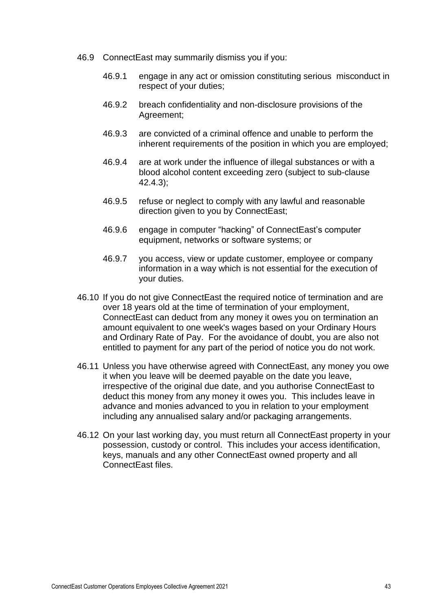- 46.9 ConnectEast may summarily dismiss you if you:
	- 46.9.1 engage in any act or omission constituting serious misconduct in respect of your duties;
	- 46.9.2 breach confidentiality and non-disclosure provisions of the Agreement;
	- 46.9.3 are convicted of a criminal offence and unable to perform the inherent requirements of the position in which you are employed;
	- 46.9.4 are at work under the influence of illegal substances or with a blood alcohol content exceeding zero (subject to sub-clause 42.4.3);
	- 46.9.5 refuse or neglect to comply with any lawful and reasonable direction given to you by ConnectEast;
	- 46.9.6 engage in computer "hacking" of ConnectEast's computer equipment, networks or software systems; or
	- 46.9.7 you access, view or update customer, employee or company information in a way which is not essential for the execution of your duties.
- 46.10 If you do not give ConnectEast the required notice of termination and are over 18 years old at the time of termination of your employment, ConnectEast can deduct from any money it owes you on termination an amount equivalent to one week's wages based on your Ordinary Hours and Ordinary Rate of Pay. For the avoidance of doubt, you are also not entitled to payment for any part of the period of notice you do not work.
- 46.11 Unless you have otherwise agreed with ConnectEast, any money you owe it when you leave will be deemed payable on the date you leave, irrespective of the original due date, and you authorise ConnectEast to deduct this money from any money it owes you. This includes leave in advance and monies advanced to you in relation to your employment including any annualised salary and/or packaging arrangements.
- <span id="page-46-0"></span>46.12 On your last working day, you must return all ConnectEast property in your possession, custody or control. This includes your access identification, keys, manuals and any other ConnectEast owned property and all ConnectEast files.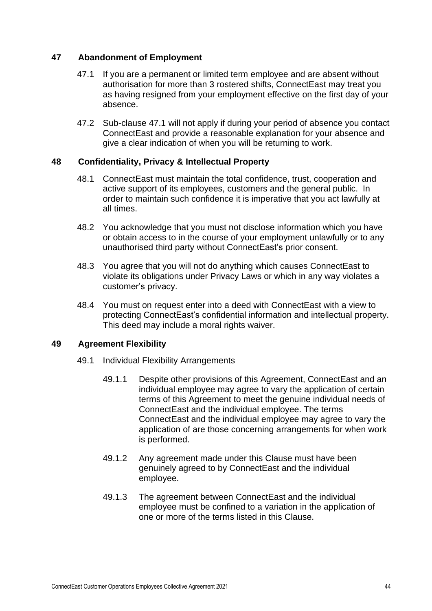## <span id="page-47-2"></span>**47 Abandonment of Employment**

- 47.1 If you are a permanent or limited term employee and are absent without authorisation for more than 3 rostered shifts, ConnectEast may treat you as having resigned from your employment effective on the first day of your absence.
- 47.2 Sub-clause [47.1](#page-47-2) will not apply if during your period of absence you contact ConnectEast and provide a reasonable explanation for your absence and give a clear indication of when you will be returning to work.

## <span id="page-47-0"></span>**48 Confidentiality, Privacy & Intellectual Property**

- 48.1 ConnectEast must maintain the total confidence, trust, cooperation and active support of its employees, customers and the general public. In order to maintain such confidence it is imperative that you act lawfully at all times.
- 48.2 You acknowledge that you must not disclose information which you have or obtain access to in the course of your employment unlawfully or to any unauthorised third party without ConnectEast's prior consent.
- 48.3 You agree that you will not do anything which causes ConnectEast to violate its obligations under Privacy Laws or which in any way violates a customer's privacy.
- 48.4 You must on request enter into a deed with ConnectEast with a view to protecting ConnectEast's confidential information and intellectual property. This deed may include a moral rights waiver.

## <span id="page-47-1"></span>**49 Agreement Flexibility**

- 49.1 Individual Flexibility Arrangements
	- 49.1.1 Despite other provisions of this Agreement, ConnectEast and an individual employee may agree to vary the application of certain terms of this Agreement to meet the genuine individual needs of ConnectEast and the individual employee. The terms ConnectEast and the individual employee may agree to vary the application of are those concerning arrangements for when work is performed.
	- 49.1.2 Any agreement made under this Clause must have been genuinely agreed to by ConnectEast and the individual employee.
	- 49.1.3 The agreement between ConnectEast and the individual employee must be confined to a variation in the application of one or more of the terms listed in this Clause.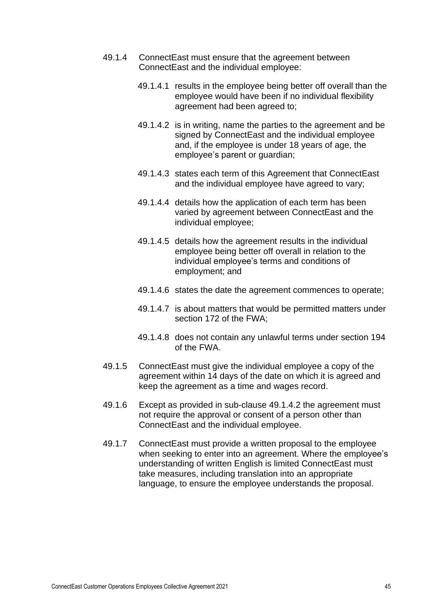- 49.1.4 ConnectEast must ensure that the agreement between ConnectEast and the individual employee:
	- 49.1.4.1 results in the employee being better off overall than the employee would have been if no individual flexibility agreement had been agreed to;
	- 49.1.4.2 is in writing, name the parties to the agreement and be signed by ConnectEast and the individual employee and, if the employee is under 18 years of age, the employee's parent or guardian;
	- 49.1.4.3 states each term of this Agreement that ConnectEast and the individual employee have agreed to vary;
	- 49.1.4.4 details how the application of each term has been varied by agreement between ConnectEast and the individual employee;
	- 49.1.4.5 details how the agreement results in the individual employee being better off overall in relation to the individual employee's terms and conditions of employment; and
	- 49.1.4.6 states the date the agreement commences to operate;
	- 49.1.4.7 is about matters that would be permitted matters under section 172 of the FWA;
	- 49.1.4.8 does not contain any unlawful terms under section 194 of the FWA.
- 49.1.5 ConnectEast must give the individual employee a copy of the agreement within 14 days of the date on which it is agreed and keep the agreement as a time and wages record.
- 49.1.6 Except as provided in sub-clause 49.1.4.2 the agreement must not require the approval or consent of a person other than ConnectEast and the individual employee.
- 49.1.7 ConnectEast must provide a written proposal to the employee when seeking to enter into an agreement. Where the employee's understanding of written English is limited ConnectEast must take measures, including translation into an appropriate language, to ensure the employee understands the proposal.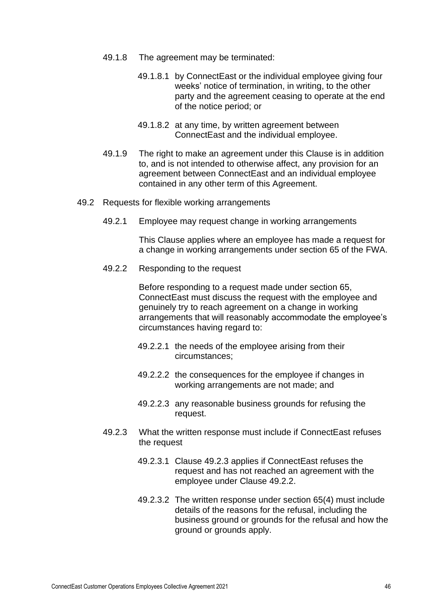- 49.1.8 The agreement may be terminated:
	- 49.1.8.1 by ConnectEast or the individual employee giving four weeks' notice of termination, in writing, to the other party and the agreement ceasing to operate at the end of the notice period; or
	- 49.1.8.2 at any time, by written agreement between ConnectEast and the individual employee.
- 49.1.9 The right to make an agreement under this Clause is in addition to, and is not intended to otherwise affect, any provision for an agreement between ConnectEast and an individual employee contained in any other term of this Agreement.
- 49.2 Requests for flexible working arrangements
	- 49.2.1 Employee may request change in working arrangements

This Clause applies where an employee has made a request for a change in working arrangements under section 65 of the FWA.

<span id="page-49-1"></span>49.2.2 Responding to the request

Before responding to a request made under section 65, ConnectEast must discuss the request with the employee and genuinely try to reach agreement on a change in working arrangements that will reasonably accommodate the employee's circumstances having regard to:

- 49.2.2.1 the needs of the employee arising from their circumstances;
- 49.2.2.2 the consequences for the employee if changes in working arrangements are not made; and
- 49.2.2.3 any reasonable business grounds for refusing the request.
- <span id="page-49-0"></span>49.2.3 What the written response must include if ConnectEast refuses the request
	- 49.2.3.1 Clause [49.2.3](#page-49-0) applies if ConnectEast refuses the request and has not reached an agreement with the employee under Clause [49.2.2.](#page-49-1)
	- 49.2.3.2 The written response under section 65(4) must include details of the reasons for the refusal, including the business ground or grounds for the refusal and how the ground or grounds apply.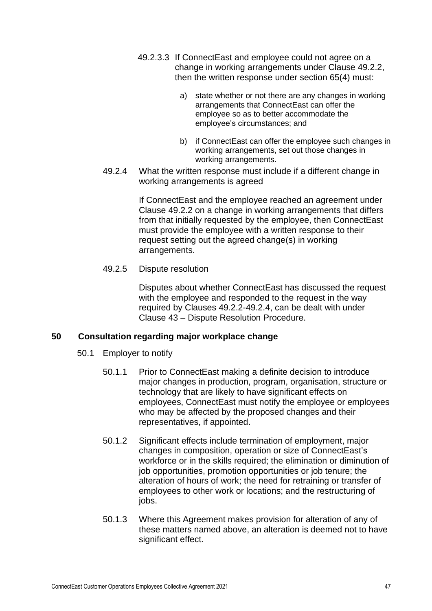- 49.2.3.3 If ConnectEast and employee could not agree on a change in working arrangements under Clause [49.2.2,](#page-49-1) then the written response under section 65(4) must:
	- a) state whether or not there are any changes in working arrangements that ConnectEast can offer the employee so as to better accommodate the employee's circumstances; and
	- b) if ConnectEast can offer the employee such changes in working arrangements, set out those changes in working arrangements.
- <span id="page-50-1"></span>49.2.4 What the written response must include if a different change in working arrangements is agreed

If ConnectEast and the employee reached an agreement under Clause [49.2.2](#page-49-1) on a change in working arrangements that differs from that initially requested by the employee, then ConnectEast must provide the employee with a written response to their request setting out the agreed change(s) in working arrangements.

49.2.5 Dispute resolution

<span id="page-50-0"></span>Disputes about whether ConnectEast has discussed the request with the employee and responded to the request in the way required by Clauses [49.2.2-](#page-49-1)[49.2.4,](#page-50-1) can be dealt with under Clause 43 – Dispute Resolution Procedure.

## **50 Consultation regarding major workplace change**

- 50.1 Employer to notify
	- 50.1.1 Prior to ConnectEast making a definite decision to introduce major changes in production, program, organisation, structure or technology that are likely to have significant effects on employees, ConnectEast must notify the employee or employees who may be affected by the proposed changes and their representatives, if appointed.
	- 50.1.2 Significant effects include termination of employment, major changes in composition, operation or size of ConnectEast's workforce or in the skills required; the elimination or diminution of job opportunities, promotion opportunities or job tenure; the alteration of hours of work; the need for retraining or transfer of employees to other work or locations; and the restructuring of jobs.
	- 50.1.3 Where this Agreement makes provision for alteration of any of these matters named above, an alteration is deemed not to have significant effect.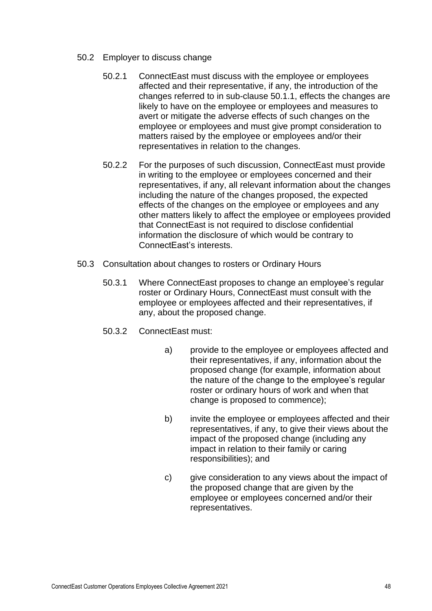- 50.2 Employer to discuss change
	- 50.2.1 ConnectEast must discuss with the employee or employees affected and their representative, if any, the introduction of the changes referred to in sub-clause 50.1.1, effects the changes are likely to have on the employee or employees and measures to avert or mitigate the adverse effects of such changes on the employee or employees and must give prompt consideration to matters raised by the employee or employees and/or their representatives in relation to the changes.
	- 50.2.2 For the purposes of such discussion, ConnectEast must provide in writing to the employee or employees concerned and their representatives, if any, all relevant information about the changes including the nature of the changes proposed, the expected effects of the changes on the employee or employees and any other matters likely to affect the employee or employees provided that ConnectEast is not required to disclose confidential information the disclosure of which would be contrary to ConnectEast's interests.
- <span id="page-51-0"></span>50.3 Consultation about changes to rosters or Ordinary Hours
	- 50.3.1 Where ConnectEast proposes to change an employee's regular roster or Ordinary Hours, ConnectEast must consult with the employee or employees affected and their representatives, if any, about the proposed change.
	- 50.3.2 ConnectEast must:
		- a) provide to the employee or employees affected and their representatives, if any, information about the proposed change (for example, information about the nature of the change to the employee's regular roster or ordinary hours of work and when that change is proposed to commence);
		- b) invite the employee or employees affected and their representatives, if any, to give their views about the impact of the proposed change (including any impact in relation to their family or caring responsibilities); and
		- c) give consideration to any views about the impact of the proposed change that are given by the employee or employees concerned and/or their representatives.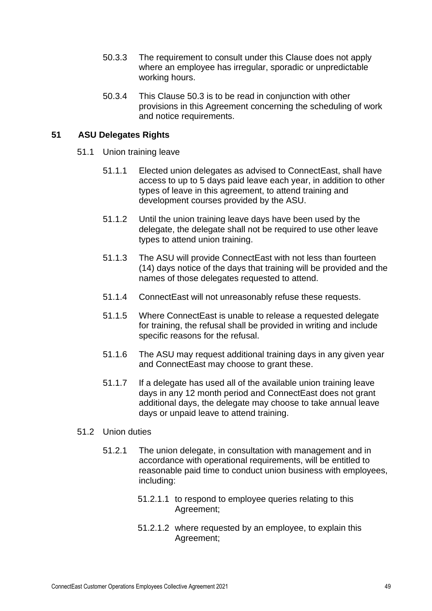- 50.3.3 The requirement to consult under this Clause does not apply where an employee has irregular, sporadic or unpredictable working hours.
- 50.3.4 This Clause [50.3](#page-51-0) is to be read in conjunction with other provisions in this Agreement concerning the scheduling of work and notice requirements.

## <span id="page-52-0"></span>**51 ASU Delegates Rights**

- 51.1 Union training leave
	- 51.1.1 Elected union delegates as advised to ConnectEast, shall have access to up to 5 days paid leave each year, in addition to other types of leave in this agreement, to attend training and development courses provided by the ASU.
	- 51.1.2 Until the union training leave days have been used by the delegate, the delegate shall not be required to use other leave types to attend union training.
	- 51.1.3 The ASU will provide ConnectEast with not less than fourteen (14) days notice of the days that training will be provided and the names of those delegates requested to attend.
	- 51.1.4 ConnectEast will not unreasonably refuse these requests.
	- 51.1.5 Where ConnectEast is unable to release a requested delegate for training, the refusal shall be provided in writing and include specific reasons for the refusal.
	- 51.1.6 The ASU may request additional training days in any given year and ConnectEast may choose to grant these.
	- 51.1.7 If a delegate has used all of the available union training leave days in any 12 month period and ConnectEast does not grant additional days, the delegate may choose to take annual leave days or unpaid leave to attend training.
- 51.2 Union duties
	- 51.2.1 The union delegate, in consultation with management and in accordance with operational requirements, will be entitled to reasonable paid time to conduct union business with employees, including:
		- 51.2.1.1 to respond to employee queries relating to this Agreement;
		- 51.2.1.2 where requested by an employee, to explain this Agreement;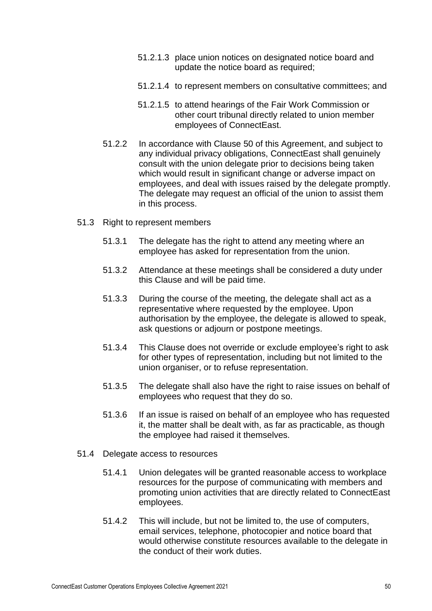- 51.2.1.3 place union notices on designated notice board and update the notice board as required;
- 51.2.1.4 to represent members on consultative committees; and
- 51.2.1.5 to attend hearings of the Fair Work Commission or other court tribunal directly related to union member employees of ConnectEast.
- 51.2.2 In accordance with Clause 50 of this Agreement, and subject to any individual privacy obligations, ConnectEast shall genuinely consult with the union delegate prior to decisions being taken which would result in significant change or adverse impact on employees, and deal with issues raised by the delegate promptly. The delegate may request an official of the union to assist them in this process.
- 51.3 Right to represent members
	- 51.3.1 The delegate has the right to attend any meeting where an employee has asked for representation from the union.
	- 51.3.2 Attendance at these meetings shall be considered a duty under this Clause and will be paid time.
	- 51.3.3 During the course of the meeting, the delegate shall act as a representative where requested by the employee. Upon authorisation by the employee, the delegate is allowed to speak, ask questions or adjourn or postpone meetings.
	- 51.3.4 This Clause does not override or exclude employee's right to ask for other types of representation, including but not limited to the union organiser, or to refuse representation.
	- 51.3.5 The delegate shall also have the right to raise issues on behalf of employees who request that they do so.
	- 51.3.6 If an issue is raised on behalf of an employee who has requested it, the matter shall be dealt with, as far as practicable, as though the employee had raised it themselves.
- <span id="page-53-0"></span>51.4 Delegate access to resources
	- 51.4.1 Union delegates will be granted reasonable access to workplace resources for the purpose of communicating with members and promoting union activities that are directly related to ConnectEast employees.
	- 51.4.2 This will include, but not be limited to, the use of computers, email services, telephone, photocopier and notice board that would otherwise constitute resources available to the delegate in the conduct of their work duties.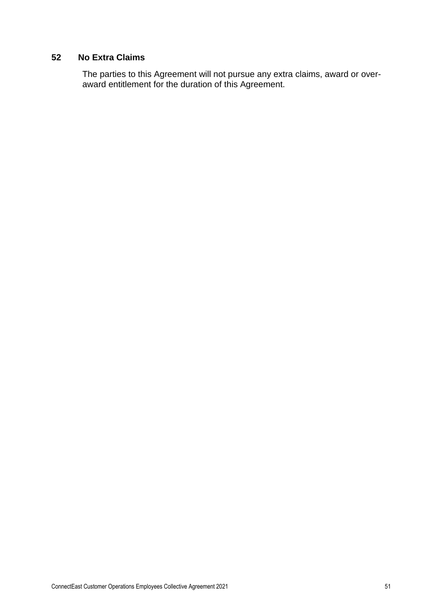## **52 No Extra Claims**

The parties to this Agreement will not pursue any extra claims, award or overaward entitlement for the duration of this Agreement.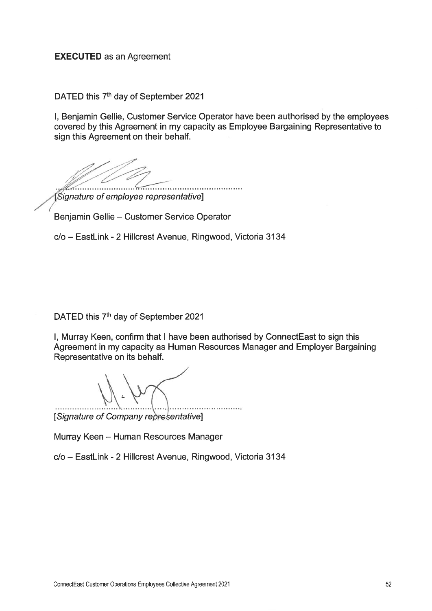## **EXECUTED** as an Agreement

DATED this 7<sup>th</sup> day of September 2021

I. Beniamin Gellie, Customer Service Operator have been authorised by the employees covered by this Agreement in my capacity as Employee Bargaining Representative to sign this Agreement on their behalf.

. . . . . . . . . . . .

Signature of employee representative]

Benjamin Gellie - Customer Service Operator

c/o - EastLink - 2 Hillcrest Avenue, Ringwood, Victoria 3134

DATED this 7th day of September 2021

I, Murray Keen, confirm that I have been authorised by ConnectEast to sign this Agreement in my capacity as Human Resources Manager and Employer Bargaining Representative on its behalf.

[Signature of Company representative]

Murray Keen - Human Resources Manager

c/o - EastLink - 2 Hillcrest Avenue, Ringwood, Victoria 3134